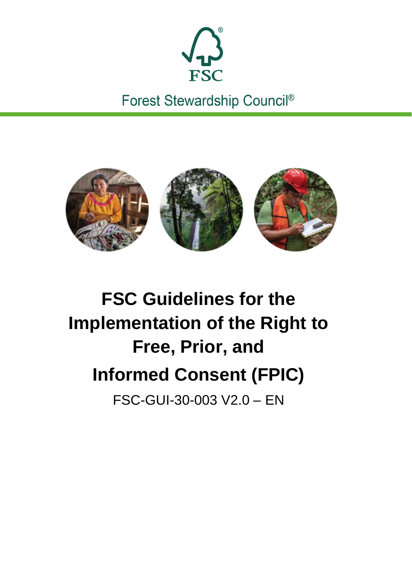

Forest Stewardship Council®



# **FSC Guidelines for the Implementation of the Right to Free, Prior, and Informed Consent (FPIC)** FSC-GUI-30-003 V2.0 – EN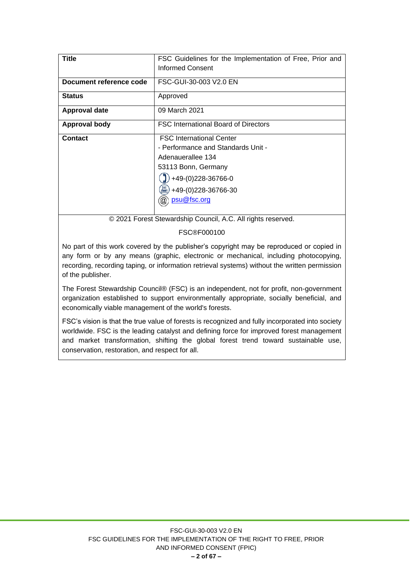| Title                   | FSC Guidelines for the Implementation of Free, Prior and |  |  |
|-------------------------|----------------------------------------------------------|--|--|
|                         | Informed Consent                                         |  |  |
| Document reference code | FSC-GUI-30-003 V2.0 EN                                   |  |  |
| <b>Status</b>           | Approved                                                 |  |  |
| <b>Approval date</b>    | 09 March 2021                                            |  |  |
| <b>Approval body</b>    | <b>FSC International Board of Directors</b>              |  |  |
| <b>Contact</b>          | <b>FSC</b> International Center                          |  |  |
|                         | - Performance and Standards Unit -                       |  |  |
|                         | Adenauerallee 134                                        |  |  |
|                         | 53113 Bonn, Germany                                      |  |  |
|                         | +49-(0)228-36766-0                                       |  |  |
|                         | 른<br>+49-(0)228-36766-30                                 |  |  |
|                         | psu@fsc.org                                              |  |  |

© 2021 Forest Stewardship Council, A.C. All rights reserved.

#### FSC®F000100

No part of this work covered by the publisher's copyright may be reproduced or copied in any form or by any means (graphic, electronic or mechanical, including photocopying, recording, recording taping, or information retrieval systems) without the written permission of the publisher.

The Forest Stewardship Council® (FSC) is an independent, not for profit, non-government organization established to support environmentally appropriate, socially beneficial, and economically viable management of the world's forests.

FSC's vision is that the true value of forests is recognized and fully incorporated into society worldwide. FSC is the leading catalyst and defining force for improved forest management and market transformation, shifting the global forest trend toward sustainable use, conservation, restoration, and respect for all.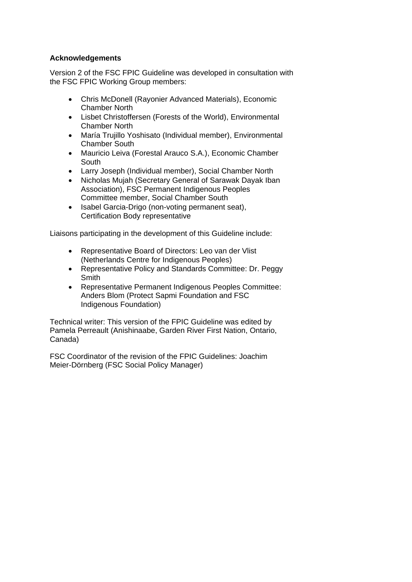#### **Acknowledgements**

Version 2 of the FSC FPIC Guideline was developed in consultation with the FSC FPIC Working Group members:

- Chris McDonell (Rayonier Advanced Materials), Economic Chamber North
- Lisbet Christoffersen (Forests of the World), Environmental Chamber North
- María Trujillo Yoshisato (Individual member), Environmental Chamber South
- Mauricio Leiva (Forestal Arauco S.A.), Economic Chamber South
- Larry Joseph (Individual member), Social Chamber North
- Nicholas Mujah (Secretary General of Sarawak Dayak Iban Association), FSC Permanent Indigenous Peoples Committee member, Social Chamber South
- Isabel Garcia-Drigo (non-voting permanent seat), Certification Body representative

Liaisons participating in the development of this Guideline include:

- Representative Board of Directors: Leo van der Vlist (Netherlands Centre for Indigenous Peoples)
- Representative Policy and Standards Committee: Dr. Peggy **Smith**
- Representative Permanent Indigenous Peoples Committee: Anders Blom (Protect Sapmi Foundation and FSC Indigenous Foundation)

Technical writer: This version of the FPIC Guideline was edited by Pamela Perreault (Anishinaabe, Garden River First Nation, Ontario, Canada)

FSC Coordinator of the revision of the FPIC Guidelines: Joachim Meier-Dörnberg (FSC Social Policy Manager)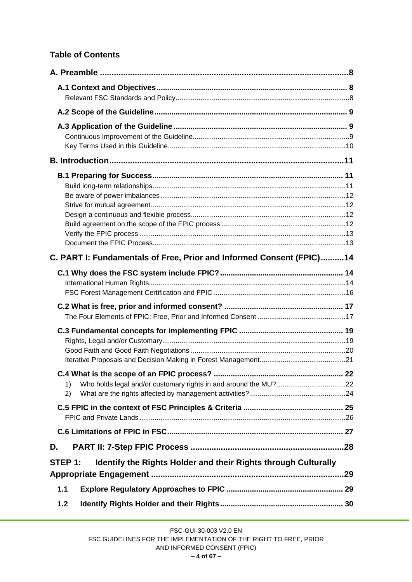# **Table of Contents**

|       | C. PART I: Fundamentals of Free, Prior and Informed Consent (FPIC)14      |    |
|-------|---------------------------------------------------------------------------|----|
|       |                                                                           |    |
|       |                                                                           |    |
|       |                                                                           |    |
|       | 1)<br>2)                                                                  | 22 |
|       |                                                                           |    |
|       |                                                                           |    |
| D.    |                                                                           |    |
|       | Identify the Rights Holder and their Rights through Culturally<br>STEP 1: |    |
| 1.1   |                                                                           |    |
| $1.2$ |                                                                           |    |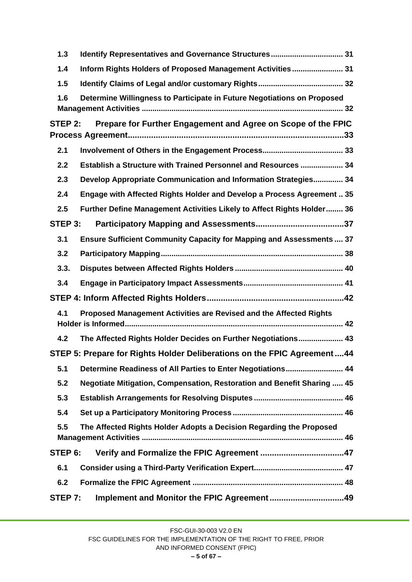| 1.3                                                                            | Identify Representatives and Governance Structures 31                          |  |  |  |
|--------------------------------------------------------------------------------|--------------------------------------------------------------------------------|--|--|--|
| 1.4                                                                            | Inform Rights Holders of Proposed Management Activities 31                     |  |  |  |
| 1.5                                                                            |                                                                                |  |  |  |
| Determine Willingness to Participate in Future Negotiations on Proposed<br>1.6 |                                                                                |  |  |  |
| STEP 2: Prepare for Further Engagement and Agree on Scope of the FPIC          |                                                                                |  |  |  |
| 2.1                                                                            |                                                                                |  |  |  |
| 2.2                                                                            | Establish a Structure with Trained Personnel and Resources  34                 |  |  |  |
| 2.3                                                                            | Develop Appropriate Communication and Information Strategies 34                |  |  |  |
| 2.4                                                                            | Engage with Affected Rights Holder and Develop a Process Agreement  35         |  |  |  |
| 2.5                                                                            | Further Define Management Activities Likely to Affect Rights Holder 36         |  |  |  |
| STEP 3:                                                                        |                                                                                |  |  |  |
| 3.1                                                                            | Ensure Sufficient Community Capacity for Mapping and Assessments  37           |  |  |  |
| 3.2                                                                            |                                                                                |  |  |  |
| 3.3.                                                                           |                                                                                |  |  |  |
| 3.4                                                                            |                                                                                |  |  |  |
|                                                                                |                                                                                |  |  |  |
| 4.1                                                                            | Proposed Management Activities are Revised and the Affected Rights             |  |  |  |
| 4.2                                                                            | The Affected Rights Holder Decides on Further Negotiations 43                  |  |  |  |
|                                                                                | STEP 5: Prepare for Rights Holder Deliberations on the FPIC Agreement44        |  |  |  |
| 5.1                                                                            | Determine Readiness of All Parties to Enter Negotiations 44                    |  |  |  |
| 5.2                                                                            | <b>Negotiate Mitigation, Compensation, Restoration and Benefit Sharing  45</b> |  |  |  |
| 5.3                                                                            |                                                                                |  |  |  |
| 5.4                                                                            |                                                                                |  |  |  |
| 5.5                                                                            | The Affected Rights Holder Adopts a Decision Regarding the Proposed            |  |  |  |
| STEP 6:                                                                        |                                                                                |  |  |  |
| 6.1                                                                            |                                                                                |  |  |  |
| 6.2                                                                            |                                                                                |  |  |  |
| STEP 7:                                                                        | Implement and Monitor the FPIC Agreement49                                     |  |  |  |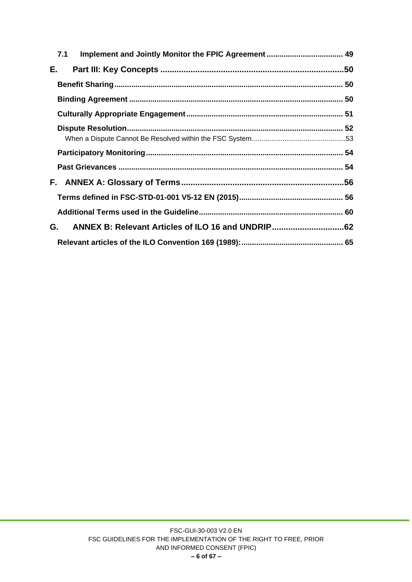|    | 7.1 |  |
|----|-----|--|
| Е. |     |  |
|    |     |  |
|    |     |  |
|    |     |  |
|    |     |  |
|    |     |  |
|    |     |  |
|    |     |  |
|    |     |  |
|    |     |  |
|    |     |  |
| G. |     |  |
|    |     |  |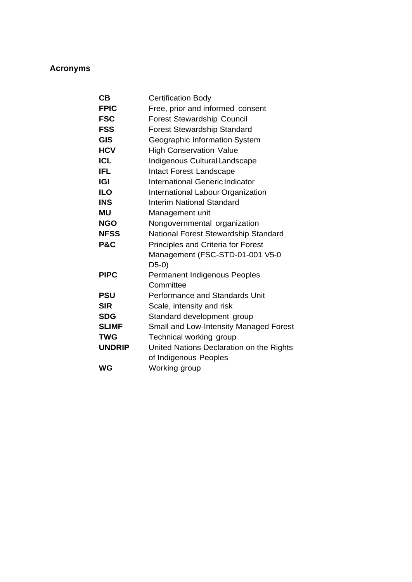# **Acronyms**

| CB             | <b>Certification Body</b>                 |
|----------------|-------------------------------------------|
| <b>FPIC</b>    | Free, prior and informed consent          |
| <b>FSC</b>     | <b>Forest Stewardship Council</b>         |
| <b>FSS</b>     | <b>Forest Stewardship Standard</b>        |
| <b>GIS</b>     | Geographic Information System             |
| <b>HCV</b>     | <b>High Conservation Value</b>            |
| <b>ICL</b>     | Indigenous Cultural Landscape             |
| <b>IFL</b>     | <b>Intact Forest Landscape</b>            |
| IGI            | International Generic Indicator           |
| <b>ILO</b>     | International Labour Organization         |
| <b>INS</b>     | <b>Interim National Standard</b>          |
| ΜU             | Management unit                           |
| <b>NGO</b>     | Nongovernmental organization              |
| <b>NFSS</b>    | National Forest Stewardship Standard      |
| <b>P&amp;C</b> | <b>Principles and Criteria for Forest</b> |
|                | Management (FSC-STD-01-001 V5-0           |
|                | $D5-0)$                                   |
| <b>PIPC</b>    | Permanent Indigenous Peoples              |
|                | Committee                                 |
| <b>PSU</b>     | Performance and Standards Unit            |
| <b>SIR</b>     | Scale, intensity and risk                 |
| <b>SDG</b>     | Standard development group                |
| <b>SLIMF</b>   | Small and Low-Intensity Managed Forest    |
| <b>TWG</b>     | Technical working group                   |
| <b>UNDRIP</b>  | United Nations Declaration on the Rights  |
|                | of Indigenous Peoples                     |
| <b>WG</b>      | Working group                             |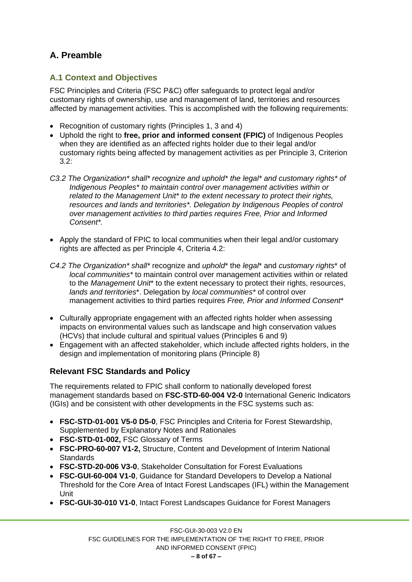# <span id="page-7-0"></span>**A. Preamble**

## <span id="page-7-1"></span>**A.1 Context and Objectives**

FSC Principles and Criteria (FSC P&C) offer safeguards to protect legal and/or customary rights of ownership, use and management of land, territories and resources affected by management activities. This is accomplished with the following requirements:

- Recognition of customary rights (Principles 1, 3 and 4)
- Uphold the right to **free, prior and informed consent (FPIC)** of Indigenous Peoples when they are identified as an affected rights holder due to their legal and/or customary rights being affected by management activities as per Principle 3, Criterion 3.2:
- *C3.2 The Organization\* shall\* recognize and uphold\* the legal\* and customary rights\* of Indigenous Peoples\* to maintain control over management activities within or related to the Management Unit\* to the extent necessary to protect their rights, resources and lands and territories\*. Delegation by Indigenous Peoples of control over management activities to third parties requires Free, Prior and Informed Consent\*.*
- Apply the standard of FPIC to local communities when their legal and/or customary rights are affected as per Principle 4, Criteria 4.2:
- *C4.2 The Organization\* shall\** recognize and *uphold*\* the *legal*\* and *customary rights*\* of *local communities\** to maintain control over management activities within or related to the *Management Unit*\* to the extent necessary to protect their rights, resources, *lands and territories*\*. Delegation by *local communities\** of control over management activities to third parties requires *Free, Prior and Informed Consent*\*
- Culturally appropriate engagement with an affected rights holder when assessing impacts on environmental values such as landscape and high conservation values (HCVs) that include cultural and spiritual values (Principles 6 and 9)
- Engagement with an affected stakeholder, which include affected rights holders, in the design and implementation of monitoring plans (Principle 8)

# <span id="page-7-2"></span>**Relevant FSC Standards and Policy**

The requirements related to FPIC shall conform to nationally developed forest management standards based on **FSC-STD-60-004 V2-0** International Generic Indicators (IGIs) and be consistent with other developments in the FSC systems such as:

- **FSC-STD-01-001 V5-0 D5-0**, FSC Principles and Criteria for Forest Stewardship, Supplemented by Explanatory Notes and Rationales
- **FSC-STD-01-002,** FSC Glossary of Terms
- **FSC-PRO-60-007 V1-2,** Structure, Content and Development of Interim National **Standards**
- **FSC-STD-20-006 V3-0**, Stakeholder Consultation for Forest Evaluations
- **FSC-GUI-60-004 V1-0**, Guidance for Standard Developers to Develop a National Threshold for the Core Area of Intact Forest Landscapes (IFL) within the Management Unit
- **FSC-GUI-30-010 V1-0**, Intact Forest Landscapes Guidance for Forest Managers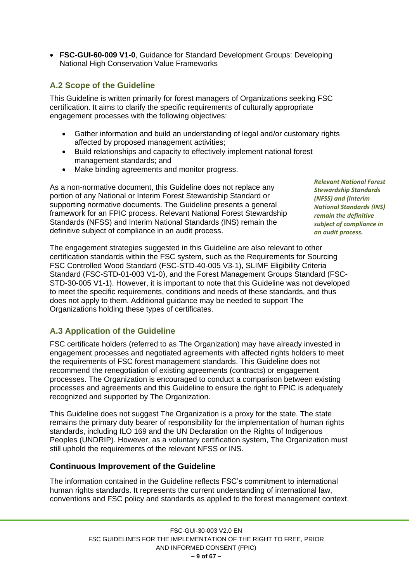• **FSC-GUI-60-009 V1-0**, Guidance for Standard Development Groups: Developing National High Conservation Value Frameworks

# <span id="page-8-0"></span>**A.2 Scope of the Guideline**

This Guideline is written primarily for forest managers of Organizations seeking FSC certification. It aims to clarify the specific requirements of culturally appropriate engagement processes with the following objectives:

- Gather information and build an understanding of legal and/or customary rights affected by proposed management activities;
- Build relationships and capacity to effectively implement national forest management standards; and
- Make binding agreements and monitor progress.

As a non-normative document, this Guideline does not replace any portion of any National or Interim Forest Stewardship Standard or supporting normative documents. The Guideline presents a general framework for an FPIC process. Relevant National Forest Stewardship Standards (NFSS) and Interim National Standards (INS) remain the definitive subject of compliance in an audit process.

*Relevant National Forest Stewardship Standards (NFSS) and (Interim National Standards (INS) remain the definitive subject of compliance in an audit process.*

The engagement strategies suggested in this Guideline are also relevant to other certification standards within the FSC system, such as the Requirements for Sourcing FSC Controlled Wood Standard (FSC-STD-40-005 V3-1), SLIMF Eligibility Criteria Standard (FSC-STD-01-003 V1-0), and the Forest Management Groups Standard (FSC-STD-30-005 V1-1). However, it is important to note that this Guideline was not developed to meet the specific requirements, conditions and needs of these standards, and thus does not apply to them. Additional guidance may be needed to support The Organizations holding these types of certificates.

## <span id="page-8-1"></span>**A.3 Application of the Guideline**

FSC certificate holders (referred to as The Organization) may have already invested in engagement processes and negotiated agreements with affected rights holders to meet the requirements of FSC forest management standards. This Guideline does not recommend the renegotiation of existing agreements (contracts) or engagement processes. The Organization is encouraged to conduct a comparison between existing processes and agreements and this Guideline to ensure the right to FPIC is adequately recognized and supported by The Organization.

This Guideline does not suggest The Organization is a proxy for the state. The state remains the primary duty bearer of responsibility for the implementation of human rights standards, including ILO 169 and the UN Declaration on the Rights of Indigenous Peoples (UNDRIP). However, as a voluntary certification system, The Organization must still uphold the requirements of the relevant NFSS or INS.

## <span id="page-8-2"></span>**Continuous Improvement of the Guideline**

The information contained in the Guideline reflects FSC's commitment to international human rights standards. It represents the current understanding of international law, conventions and FSC policy and standards as applied to the forest management context.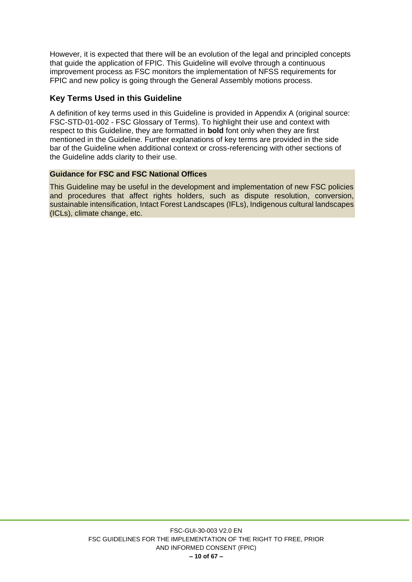However, it is expected that there will be an evolution of the legal and principled concepts that guide the application of FPIC. This Guideline will evolve through a continuous improvement process as FSC monitors the implementation of NFSS requirements for FPIC and new policy is going through the General Assembly motions process.

#### <span id="page-9-0"></span>**Key Terms Used in this Guideline**

A definition of key terms used in this Guideline is provided in Appendix A (original source: FSC-STD-01-002 - FSC Glossary of Terms). To highlight their use and context with respect to this Guideline, they are formatted in **bold** font only when they are first mentioned in the Guideline. Further explanations of key terms are provided in the side bar of the Guideline when additional context or cross-referencing with other sections of the Guideline adds clarity to their use.

#### **Guidance for FSC and FSC National Offices**

This Guideline may be useful in the development and implementation of new FSC policies and procedures that affect rights holders, such as dispute resolution, conversion, sustainable intensification, Intact Forest Landscapes (IFLs), Indigenous cultural landscapes (ICLs), climate change, etc.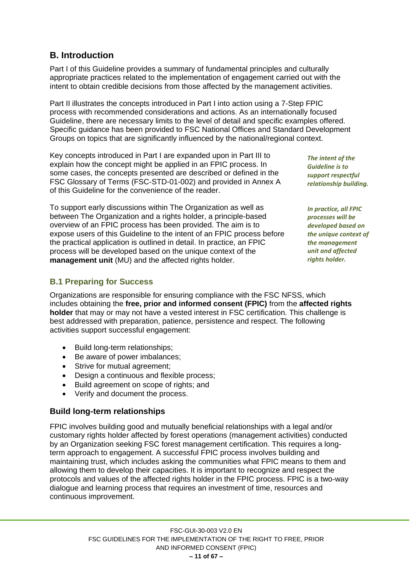#### FSC-GUI-30-003 V2.0 EN FSC GUIDELINES FOR THE IMPLEMENTATION OF THE RIGHT TO FREE, PRIOR AND INFORMED CONSENT (FPIC)

# <span id="page-10-0"></span>**B. Introduction**

Part I of this Guideline provides a summary of fundamental principles and culturally appropriate practices related to the implementation of engagement carried out with the intent to obtain credible decisions from those affected by the management activities.

Part II illustrates the concepts introduced in Part I into action using a 7-Step FPIC process with recommended considerations and actions. As an internationally focused Guideline, there are necessary limits to the level of detail and specific examples offered. Specific guidance has been provided to FSC National Offices and Standard Development Groups on topics that are significantly influenced by the national/regional context.

Key concepts introduced in Part I are expanded upon in Part III to explain how the concept might be applied in an FPIC process. In some cases, the concepts presented are described or defined in the FSC Glossary of Terms (FSC-STD-01-002) and provided in Annex A of this Guideline for the convenience of the reader.

To support early discussions within The Organization as well as between The Organization and a rights holder, a principle-based overview of an FPIC process has been provided. The aim is to expose users of this Guideline to the intent of an FPIC process before the practical application is outlined in detail. In practice, an FPIC process will be developed based on the unique context of the **management unit** (MU) and the affected rights holder.

## <span id="page-10-1"></span>**B.1 Preparing for Success**

Organizations are responsible for ensuring compliance with the FSC NFSS, which includes obtaining the **free, prior and informed consent (FPIC)** from the **affected rights holder** that may or may not have a vested interest in FSC certification. This challenge is best addressed with preparation, patience, persistence and respect. The following activities support successful engagement:

- Build long-term relationships;
- Be aware of power imbalances:
- Strive for mutual agreement;
- Design a continuous and flexible process;
- Build agreement on scope of rights; and
- Verify and document the process.

# <span id="page-10-2"></span>**Build long-term relationships**

FPIC involves building good and mutually beneficial relationships with a legal and/or customary rights holder affected by forest operations (management activities) conducted by an Organization seeking FSC forest management certification. This requires a longterm approach to engagement. A successful FPIC process involves building and maintaining trust, which includes asking the communities what FPIC means to them and allowing them to develop their capacities. It is important to recognize and respect the protocols and values of the affected rights holder in the FPIC process. FPIC is a two-way dialogue and learning process that requires an investment of time, resources and continuous improvement.

*The intent of the Guideline is to support respectful relationship building.*

*In practice, all FPIC processes will be developed based on the unique context of the management unit and affected rights holder.*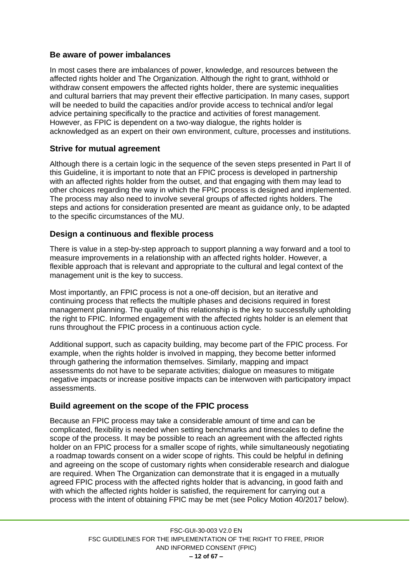#### <span id="page-11-0"></span>**Be aware of power imbalances**

In most cases there are imbalances of power, knowledge, and resources between the affected rights holder and The Organization. Although the right to grant, withhold or withdraw consent empowers the affected rights holder, there are systemic inequalities and cultural barriers that may prevent their effective participation. In many cases, support will be needed to build the capacities and/or provide access to technical and/or legal advice pertaining specifically to the practice and activities of forest management. However, as FPIC is dependent on a two-way dialogue, the rights holder is acknowledged as an expert on their own environment, culture, processes and institutions.

#### <span id="page-11-1"></span>**Strive for mutual agreement**

Although there is a certain logic in the sequence of the seven steps presented in Part II of this Guideline, it is important to note that an FPIC process is developed in partnership with an affected rights holder from the outset, and that engaging with them may lead to other choices regarding the way in which the FPIC process is designed and implemented. The process may also need to involve several groups of affected rights holders. The steps and actions for consideration presented are meant as guidance only, to be adapted to the specific circumstances of the MU.

#### <span id="page-11-2"></span>**Design a continuous and flexible process**

There is value in a step-by-step approach to support planning a way forward and a tool to measure improvements in a relationship with an affected rights holder. However, a flexible approach that is relevant and appropriate to the cultural and legal context of the management unit is the key to success.

Most importantly, an FPIC process is not a one-off decision, but an iterative and continuing process that reflects the multiple phases and decisions required in forest management planning. The quality of this relationship is the key to successfully upholding the right to FPIC. Informed engagement with the affected rights holder is an element that runs throughout the FPIC process in a continuous action cycle.

Additional support, such as capacity building, may become part of the FPIC process. For example, when the rights holder is involved in mapping, they become better informed through gathering the information themselves. Similarly, mapping and impact assessments do not have to be separate activities; dialogue on measures to mitigate negative impacts or increase positive impacts can be interwoven with participatory impact assessments.

## <span id="page-11-3"></span>**Build agreement on the scope of the FPIC process**

Because an FPIC process may take a considerable amount of time and can be complicated, flexibility is needed when setting benchmarks and timescales to define the scope of the process. It may be possible to reach an agreement with the affected rights holder on an FPIC process for a smaller scope of rights, while simultaneously negotiating a roadmap towards consent on a wider scope of rights. This could be helpful in defining and agreeing on the scope of customary rights when considerable research and dialogue are required. When The Organization can demonstrate that it is engaged in a mutually agreed FPIC process with the affected rights holder that is advancing, in good faith and with which the affected rights holder is satisfied, the requirement for carrying out a process with the intent of obtaining FPIC may be met (see Policy Motion 40/2017 below).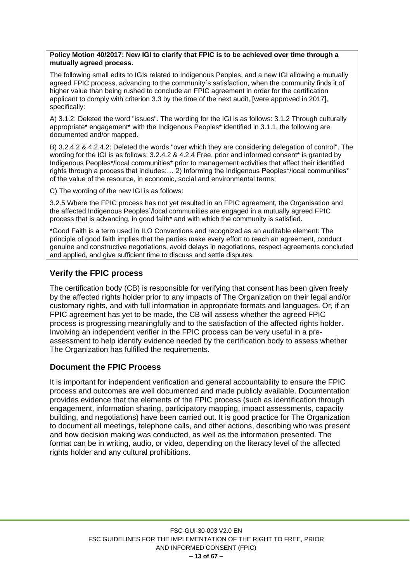**Policy Motion 40/2017: New IGI to clarify that FPIC is to be achieved over time through a mutually agreed process.**

The following small edits to IGIs related to Indigenous Peoples, and a new IGI allowing a mutually agreed FPIC process, advancing to the community´s satisfaction, when the community finds it of higher value than being rushed to conclude an FPIC agreement in order for the certification applicant to comply with criterion 3.3 by the time of the next audit, [were approved in 2017], specifically:

A) 3.1.2: Deleted the word "issues". The wording for the IGI is as follows: 3.1.2 Through culturally appropriate\* engagement\* with the Indigenous Peoples\* identified in 3.1.1, the following are documented and/or mapped.

B) 3.2.4.2 & 4.2.4.2: Deleted the words "over which they are considering delegation of control". The wording for the IGI is as follows: 3.2.4.2 & 4.2.4 Free, prior and informed consent\* is granted by Indigenous Peoples\*/local communities\* prior to management activities that affect their identified rights through a process that includes:... 2) Informing the Indigenous Peoples\*/local communities\* of the value of the resource, in economic, social and environmental terms;

C) The wording of the new IGI is as follows:

3.2.5 Where the FPIC process has not yet resulted in an FPIC agreement, the Organisation and the affected Indigenous Peoples´/local communities are engaged in a mutually agreed FPIC process that is advancing, in good faith\* and with which the community is satisfied.

\*Good Faith is a term used in ILO Conventions and recognized as an auditable element: The principle of good faith implies that the parties make every effort to reach an agreement, conduct genuine and constructive negotiations, avoid delays in negotiations, respect agreements concluded and applied, and give sufficient time to discuss and settle disputes.

#### <span id="page-12-0"></span>**Verify the FPIC process**

The certification body (CB) is responsible for verifying that consent has been given freely by the affected rights holder prior to any impacts of The Organization on their legal and/or customary rights, and with full information in appropriate formats and languages. Or, if an FPIC agreement has yet to be made, the CB will assess whether the agreed FPIC process is progressing meaningfully and to the satisfaction of the affected rights holder. Involving an independent verifier in the FPIC process can be very useful in a preassessment to help identify evidence needed by the certification body to assess whether The Organization has fulfilled the requirements.

#### <span id="page-12-1"></span>**Document the FPIC Process**

It is important for independent verification and general accountability to ensure the FPIC process and outcomes are well documented and made publicly available. Documentation provides evidence that the elements of the FPIC process (such as identification through engagement, information sharing, participatory mapping, impact assessments, capacity building, and negotiations) have been carried out. It is good practice for The Organization to document all meetings, telephone calls, and other actions, describing who was present and how decision making was conducted, as well as the information presented. The format can be in writing, audio, or video, depending on the literacy level of the affected rights holder and any cultural prohibitions.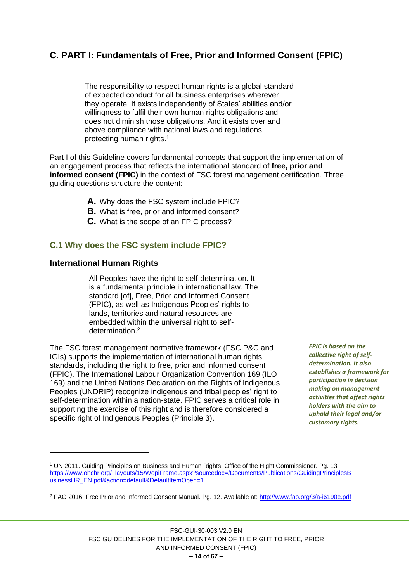# <span id="page-13-0"></span>**C. PART I: Fundamentals of Free, Prior and Informed Consent (FPIC)**

The responsibility to respect human rights is a global standard of expected conduct for all business enterprises wherever they operate. It exists independently of States' abilities and/or willingness to fulfil their own human rights obligations and does not diminish those obligations. And it exists over and above compliance with national laws and regulations protecting human rights. 1

Part I of this Guideline covers fundamental concepts that support the implementation of an engagement process that reflects the international standard of **free, prior and informed consent (FPIC)** in the context of FSC forest management certification. Three guiding questions structure the content:

- **A.** Why does the FSC system include FPIC?
- **B.** What is free, prior and informed consent?
- **C.** What is the scope of an FPIC process?

#### <span id="page-13-1"></span>**C.1 Why does the FSC system include FPIC?**

#### <span id="page-13-2"></span>**International Human Rights**

All Peoples have the right to self-determination. It is a fundamental principle in international law. The standard [of], Free, Prior and Informed Consent (FPIC), as well as Indigenous Peoples' rights to lands, territories and natural resources are embedded within the universal right to selfdetermination.<sup>2</sup>

The FSC forest management normative framework (FSC P&C and IGIs) supports the implementation of international human rights standards, including the right to free, prior and informed consent (FPIC). The International Labour Organization Convention 169 (ILO 169) and the United Nations Declaration on the Rights of Indigenous Peoples (UNDRIP) recognize indigenous and tribal peoples' right to self-determination within a nation-state. FPIC serves a critical role in supporting the exercise of this right and is therefore considered a specific right of Indigenous Peoples (Principle 3).

*FPIC is based on the collective right of selfdetermination. It also establishes a framework for participation in decision making on management activities that affect rights holders with the aim to uphold their legal and/or customary rights.*

<sup>1</sup> UN 2011. Guiding Principles on Business and Human Rights. Office of the Hight Commissioner. Pg. 13 [https://www.ohchr.org/\\_layouts/15/WopiFrame.aspx?sourcedoc=/Documents/Publications/GuidingPrinciplesB](https://www.ohchr.org/_layouts/15/WopiFrame.aspx?sourcedoc=/Documents/Publications/GuidingPrinciplesBusinessHR_EN.pdf&action=default&DefaultItemOpen=1) [usinessHR\\_EN.pdf&action=default&DefaultItemOpen=1](https://www.ohchr.org/_layouts/15/WopiFrame.aspx?sourcedoc=/Documents/Publications/GuidingPrinciplesBusinessHR_EN.pdf&action=default&DefaultItemOpen=1)

<sup>2</sup> FAO 2016. Free Prior and Informed Consent Manual. Pg. 12. Available at: <http://www.fao.org/3/a-i6190e.pdf>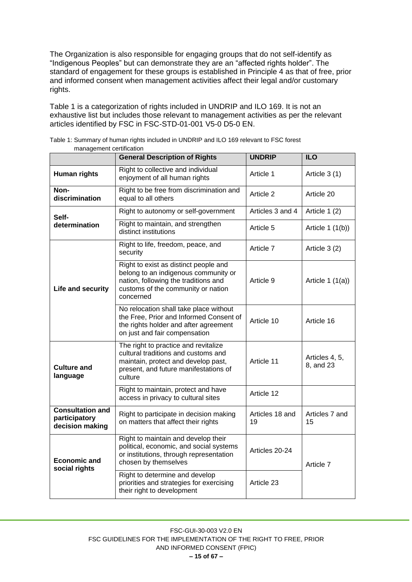The Organization is also responsible for engaging groups that do not self-identify as "Indigenous Peoples" but can demonstrate they are an "affected rights holder". The standard of engagement for these groups is established in Principle 4 as that of free, prior and informed consent when management activities affect their legal and/or customary rights.

Table 1 is a categorization of rights included in UNDRIP and ILO 169. It is not an exhaustive list but includes those relevant to management activities as per the relevant articles identified by FSC in FSC-STD-01-001 V5-0 D5-0 EN.

| management certification                                                            | <b>General Description of Rights</b>                                                                                                                                     | <b>UNDRIP</b>         | <b>ILO</b>                  |
|-------------------------------------------------------------------------------------|--------------------------------------------------------------------------------------------------------------------------------------------------------------------------|-----------------------|-----------------------------|
| Right to collective and individual<br>Human rights<br>enjoyment of all human rights |                                                                                                                                                                          | Article 1             | Article 3 (1)               |
| Non-<br>discrimination                                                              | Right to be free from discrimination and<br>equal to all others                                                                                                          | Article 2             | Article 20                  |
| Self-                                                                               | Right to autonomy or self-government                                                                                                                                     | Articles 3 and 4      | Article 1 (2)               |
| determination                                                                       | Right to maintain, and strengthen<br>distinct institutions                                                                                                               | Article 5             | Article $1(1(b))$           |
|                                                                                     | Right to life, freedom, peace, and<br>security                                                                                                                           | Article 7             | Article 3 (2)               |
| Life and security                                                                   | Right to exist as distinct people and<br>belong to an indigenous community or<br>nation, following the traditions and<br>customs of the community or nation<br>concerned | Article 9             | Article $1(1(a))$           |
|                                                                                     | No relocation shall take place without<br>the Free, Prior and Informed Consent of<br>the rights holder and after agreement<br>on just and fair compensation              | Article 10            | Article 16                  |
| <b>Culture and</b><br>language                                                      | The right to practice and revitalize<br>cultural traditions and customs and<br>maintain, protect and develop past,<br>present, and future manifestations of<br>culture   | Article 11            | Articles 4, 5,<br>8, and 23 |
|                                                                                     | Right to maintain, protect and have<br>access in privacy to cultural sites                                                                                               | Article 12            |                             |
| <b>Consultation and</b><br>participatory<br>decision making                         | Right to participate in decision making<br>on matters that affect their rights                                                                                           | Articles 18 and<br>19 | Articles 7 and<br>15        |
| <b>Economic and</b><br>social rights                                                | Right to maintain and develop their<br>political, economic, and social systems<br>or institutions, through representation<br>chosen by themselves                        | Articles 20-24        | Article 7                   |
|                                                                                     | Right to determine and develop<br>priorities and strategies for exercising<br>their right to development                                                                 | Article 23            |                             |

Table 1: Summary of human rights included in UNDRIP and ILO 169 relevant to FSC forest management certification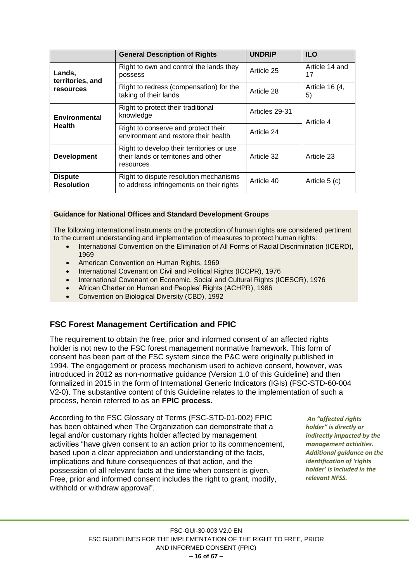|                                     | <b>General Description of Rights</b>                                                           | <b>UNDRIP</b>  | <b>ILO</b>           |  |
|-------------------------------------|------------------------------------------------------------------------------------------------|----------------|----------------------|--|
| Lands,<br>territories, and          | Right to own and control the lands they<br>possess                                             | Article 25     | Article 14 and<br>17 |  |
| resources                           | Right to redress (compensation) for the<br>taking of their lands                               | Article 28     | Article 16 (4,<br>5) |  |
| Environmental                       | Right to protect their traditional<br>knowledge                                                | Articles 29-31 | Article 4            |  |
| <b>Health</b>                       | Right to conserve and protect their<br>environment and restore their health                    | Article 24     |                      |  |
| <b>Development</b>                  | Right to develop their territories or use<br>their lands or territories and other<br>resources | Article 32     | Article 23           |  |
| <b>Dispute</b><br><b>Resolution</b> | Right to dispute resolution mechanisms<br>to address infringements on their rights             | Article 40     | Article 5 (c)        |  |

#### **Guidance for National Offices and Standard Development Groups**

The following international instruments on the protection of human rights are considered pertinent to the current understanding and implementation of measures to protect human rights:

- International Convention on the Elimination of All Forms of Racial Discrimination (ICERD), 1969
- American Convention on Human Rights, 1969
- International Covenant on Civil and Political Rights (ICCPR), 1976
- International Covenant on Economic, Social and Cultural Rights (ICESCR), 1976
- African Charter on Human and Peoples' Rights (ACHPR), 1986
- Convention on Biological Diversity (CBD), 1992

## <span id="page-15-0"></span>**FSC Forest Management Certification and FPIC**

The requirement to obtain the free, prior and informed consent of an affected rights holder is not new to the FSC forest management normative framework. This form of consent has been part of the FSC system since the P&C were originally published in 1994. The engagement or process mechanism used to achieve consent, however, was introduced in 2012 as non-normative guidance (Version 1.0 of this Guideline) and then formalized in 2015 in the form of International Generic Indicators (IGIs) (FSC-STD-60-004 V2-0). The substantive content of this Guideline relates to the implementation of such a process, herein referred to as an **FPIC process**.

According to the FSC Glossary of Terms (FSC-STD-01-002) FPIC has been obtained when The Organization can demonstrate that a legal and/or customary rights holder affected by management activities "have given consent to an action prior to its commencement, based upon a clear appreciation and understanding of the facts, implications and future consequences of that action, and the possession of all relevant facts at the time when consent is given. Free, prior and informed consent includes the right to grant, modify, withhold or withdraw approval".

*An "affected rights holder" is directly or indirectly impacted by the management activities. Additional guidance on the identification of 'rights holder' is included in the relevant NFSS.*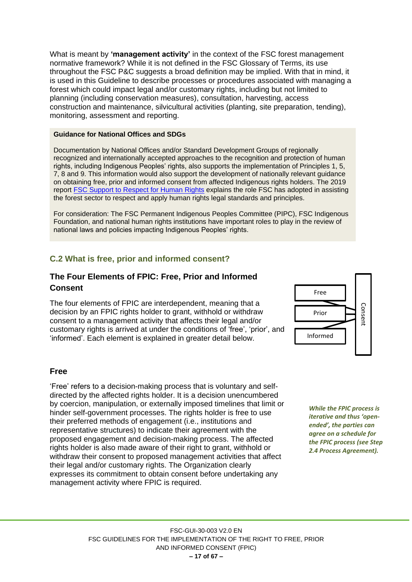What is meant by **'management activity'** in the context of the FSC forest management normative framework? While it is not defined in the FSC Glossary of Terms, its use throughout the FSC P&C suggests a broad definition may be implied. With that in mind, it is used in this Guideline to describe processes or procedures associated with managing a forest which could impact legal and/or customary rights, including but not limited to planning (including conservation measures), consultation, harvesting, access construction and maintenance, silvicultural activities (planting, site preparation, tending), monitoring, assessment and reporting.

#### **Guidance for National Offices and SDGs**

Documentation by National Offices and/or Standard Development Groups of regionally recognized and internationally accepted approaches to the recognition and protection of human rights, including Indigenous Peoples' rights, also supports the implementation of Principles 1, 5, 7, 8 and 9. This information would also support the development of nationally relevant guidance on obtaining free, prior and informed consent from affected Indigenous rights holders. The 2019 report [FSC Support to Respect for Human Rights](https://jp.fsc.org/preview.fsc-support-to-respect-for-human-rights.a-648.pdf) explains the role FSC has adopted in assisting the forest sector to respect and apply human rights legal standards and principles.

For consideration: The FSC Permanent Indigenous Peoples Committee (PIPC), FSC Indigenous Foundation, and national human rights institutions have important roles to play in the review of national laws and policies impacting Indigenous Peoples' rights.

## <span id="page-16-0"></span>**C.2 What is free, prior and informed consent?**

## <span id="page-16-1"></span>**The Four Elements of FPIC: Free, Prior and Informed Consent**

The four elements of FPIC are interdependent, meaning that a decision by an FPIC rights holder to grant, withhold or withdraw consent to a management activity that affects their legal and/or customary rights is arrived at under the conditions of 'free', 'prior', and 'informed'. Each element is explained in greater detail below.



#### **Free**

'Free' refers to a decision-making process that is voluntary and selfdirected by the affected rights holder. It is a decision unencumbered by coercion, manipulation, or externally imposed timelines that limit or hinder self-government processes. The rights holder is free to use their preferred methods of engagement (i.e., institutions and representative structures) to indicate their agreement with the proposed engagement and decision-making process. The affected rights holder is also made aware of their right to grant, withhold or withdraw their consent to proposed management activities that affect their legal and/or customary rights. The Organization clearly expresses its commitment to obtain consent before undertaking any management activity where FPIC is required.

*While the FPIC process is iterative and thus 'openended', the parties can agree on a schedule for the FPIC process (see Step 2.4 Process Agreement).*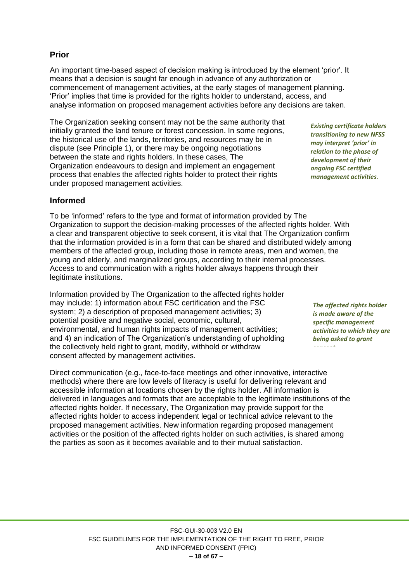#### **Prior**

An important time-based aspect of decision making is introduced by the element 'prior'. It means that a decision is sought far enough in advance of any authorization or commencement of management activities, at the early stages of management planning. 'Prior' implies that time is provided for the rights holder to understand, access, and analyse information on proposed management activities before any decisions are taken.

The Organization seeking consent may not be the same authority that initially granted the land tenure or forest concession. In some regions, the historical use of the lands, territories, and resources may be in dispute (see Principle 1), or there may be ongoing negotiations between the state and rights holders. In these cases, The Organization endeavours to design and implement an engagement process that enables the affected rights holder to protect their rights under proposed management activities.

#### **Informed**

To be 'informed' refers to the type and format of information provided by The Organization to support the decision-making processes of the affected rights holder. With a clear and transparent objective to seek consent, it is vital that The Organization confirm that the information provided is in a form that can be shared and distributed widely among members of the affected group, including those in remote areas, men and women, the young and elderly, and marginalized groups, according to their internal processes. Access to and communication with a rights holder always happens through their legitimate institutions.

Information provided by The Organization to the affected rights holder may include: 1) information about FSC certification and the FSC system; 2) a description of proposed management activities; 3) potential positive and negative social, economic, cultural, environmental, and human rights impacts of management activities; and 4) an indication of The Organization's understanding of upholding the collectively held right to grant, modify, withhold or withdraw consent affected by management activities.

Direct communication (e.g., face-to-face meetings and other innovative, interactive methods) where there are low levels of literacy is useful for delivering relevant and accessible information at locations chosen by the rights holder. All information is delivered in languages and formats that are acceptable to the legitimate institutions of the affected rights holder. If necessary, The Organization may provide support for the affected rights holder to access independent legal or technical advice relevant to the proposed management activities. New information regarding proposed management activities or the position of the affected rights holder on such activities, is shared among the parties as soon as it becomes available and to their mutual satisfaction.

*The affected rights holder is made aware of the specific management activities to which they are being asked to grant* 

*consent.* 

*Existing certificate holders transitioning to new NFSS may interpret 'prior' in relation to the phase of development of their ongoing FSC certified management activities.*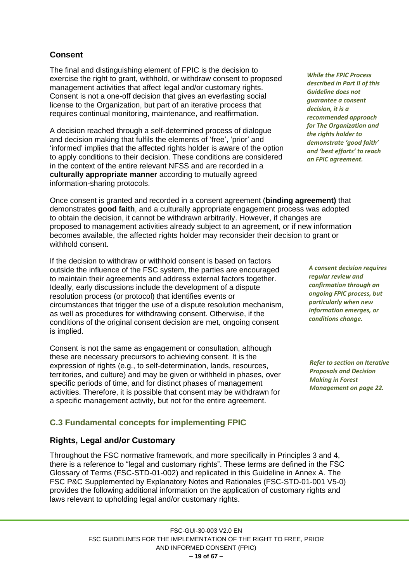## **Consent**

The final and distinguishing element of FPIC is the decision to exercise the right to grant, withhold, or withdraw consent to proposed management activities that affect legal and/or customary rights. Consent is not a one-off decision that gives an everlasting social license to the Organization, but part of an iterative process that requires continual monitoring, maintenance, and reaffirmation.

A decision reached through a self-determined process of dialogue and decision making that fulfils the elements of 'free', 'prior' and 'informed' implies that the affected rights holder is aware of the option to apply conditions to their decision. These conditions are considered in the context of the entire relevant NFSS and are recorded in a **culturally appropriate manner** according to mutually agreed information-sharing protocols.

Once consent is granted and recorded in a consent agreement (**binding agreement)** that demonstrates **good faith**, and a culturally appropriate engagement process was adopted to obtain the decision, it cannot be withdrawn arbitrarily. However, if changes are proposed to management activities already subject to an agreement, or if new information becomes available, the affected rights holder may reconsider their decision to grant or withhold consent.

If the decision to withdraw or withhold consent is based on factors outside the influence of the FSC system, the parties are encouraged to maintain their agreements and address external factors together. Ideally, early discussions include the development of a dispute resolution process (or protocol) that identifies events or circumstances that trigger the use of a dispute resolution mechanism, as well as procedures for withdrawing consent. Otherwise, if the conditions of the original consent decision are met, ongoing consent is implied.

Consent is not the same as engagement or consultation, although these are necessary precursors to achieving consent. It is the expression of rights (e.g., to self-determination, lands, resources, territories, and culture) and may be given or withheld in phases, over specific periods of time, and for distinct phases of management activities. Therefore, it is possible that consent may be withdrawn for a specific management activity, but not for the entire agreement.

# <span id="page-18-0"></span>**C.3 Fundamental concepts for implementing FPIC**

# <span id="page-18-1"></span>**Rights, Legal and/or Customary**

Throughout the FSC normative framework, and more specifically in Principles 3 and 4, there is a reference to "legal and customary rights". These terms are defined in the FSC Glossary of Terms (FSC-STD-01-002) and replicated in this Guideline in Annex A. The FSC P&C Supplemented by Explanatory Notes and Rationales (FSC-STD-01-001 V5-0) provides the following additional information on the application of customary rights and laws relevant to upholding legal and/or customary rights.

*A consent decision requires regular review and confirmation through an ongoing FPIC process, but particularly when new information emerges, or conditions change.*

*Refer to section on Iterative Proposals and Decision Making in Forest Management on page 22.*

*While the FPIC Process described in Part II of this Guideline does not guarantee a consent decision, it is a recommended approach for The Organization and the rights holder to demonstrate 'good faith' and 'best efforts' to reach an FPIC agreement.*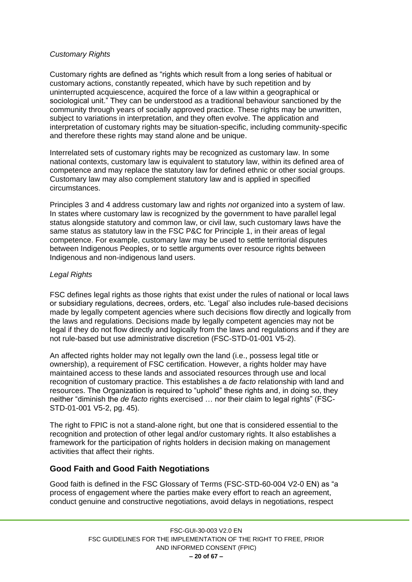#### *Customary Rights*

Customary rights are defined as "rights which result from a long series of habitual or customary actions, constantly repeated, which have by such repetition and by uninterrupted acquiescence, acquired the force of a law within a geographical or sociological unit." They can be understood as a traditional behaviour sanctioned by the community through years of socially approved practice. These rights may be unwritten, subject to variations in interpretation, and they often evolve. The application and interpretation of customary rights may be situation-specific, including community-specific and therefore these rights may stand alone and be unique.

Interrelated sets of customary rights may be recognized as customary law. In some national contexts, customary law is equivalent to statutory law, within its defined area of competence and may replace the statutory law for defined ethnic or other social groups. Customary law may also complement statutory law and is applied in specified circumstances.

Principles 3 and 4 address customary law and rights *not* organized into a system of law. In states where customary law is recognized by the government to have parallel legal status alongside statutory and common law, or civil law, such customary laws have the same status as statutory law in the FSC P&C for Principle 1, in their areas of legal competence. For example, customary law may be used to settle territorial disputes between Indigenous Peoples, or to settle arguments over resource rights between Indigenous and non-indigenous land users.

#### *Legal Rights*

FSC defines legal rights as those rights that exist under the rules of national or local laws or subsidiary regulations, decrees, orders, etc. 'Legal' also includes rule-based decisions made by legally competent agencies where such decisions flow directly and logically from the laws and regulations. Decisions made by legally competent agencies may not be legal if they do not flow directly and logically from the laws and regulations and if they are not rule-based but use administrative discretion (FSC-STD-01-001 V5-2).

An affected rights holder may not legally own the land (i.e., possess legal title or ownership), a requirement of FSC certification. However, a rights holder may have maintained access to these lands and associated resources through use and local recognition of customary practice. This establishes a *de facto* relationship with land and resources. The Organization is required to "uphold" these rights and, in doing so, they neither "diminish the *de facto* rights exercised … nor their claim to legal rights" (FSC-STD-01-001 V5-2, pg. 45).

The right to FPIC is not a stand-alone right, but one that is considered essential to the recognition and protection of other legal and/or customary rights. It also establishes a framework for the participation of rights holders in decision making on management activities that affect their rights.

#### <span id="page-19-0"></span>**Good Faith and Good Faith Negotiations**

Good faith is defined in the FSC Glossary of Terms (FSC-STD-60-004 V2-0 EN) as "a process of engagement where the parties make every effort to reach an agreement, conduct genuine and constructive negotiations, avoid delays in negotiations, respect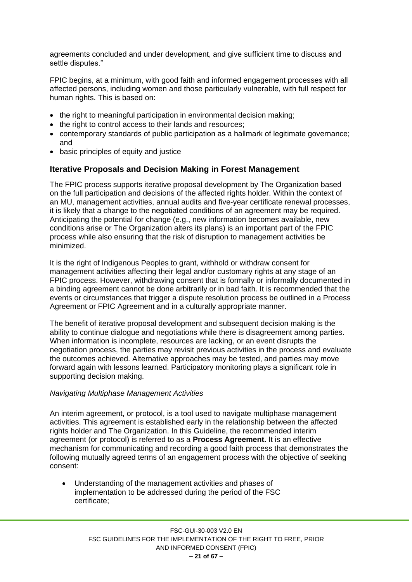agreements concluded and under development, and give sufficient time to discuss and settle disputes."

FPIC begins, at a minimum, with good faith and informed engagement processes with all affected persons, including women and those particularly vulnerable, with full respect for human rights. This is based on:

- the right to meaningful participation in environmental decision making;
- the right to control access to their lands and resources:
- contemporary standards of public participation as a hallmark of legitimate governance; and
- basic principles of equity and justice

#### <span id="page-20-0"></span>**Iterative Proposals and Decision Making in Forest Management**

The FPIC process supports iterative proposal development by The Organization based on the full participation and decisions of the affected rights holder. Within the context of an MU, management activities, annual audits and five-year certificate renewal processes, it is likely that a change to the negotiated conditions of an agreement may be required. Anticipating the potential for change (e.g., new information becomes available, new conditions arise or The Organization alters its plans) is an important part of the FPIC process while also ensuring that the risk of disruption to management activities be minimized.

It is the right of Indigenous Peoples to grant, withhold or withdraw consent for management activities affecting their legal and/or customary rights at any stage of an FPIC process. However, withdrawing consent that is formally or informally documented in a binding agreement cannot be done arbitrarily or in bad faith. It is recommended that the events or circumstances that trigger a dispute resolution process be outlined in a Process Agreement or FPIC Agreement and in a culturally appropriate manner.

The benefit of iterative proposal development and subsequent decision making is the ability to continue dialogue and negotiations while there is disagreement among parties. When information is incomplete, resources are lacking, or an event disrupts the negotiation process, the parties may revisit previous activities in the process and evaluate the outcomes achieved. Alternative approaches may be tested, and parties may move forward again with lessons learned. Participatory monitoring plays a significant role in supporting decision making.

#### *Navigating Multiphase Management Activities*

An interim agreement, or protocol, is a tool used to navigate multiphase management activities. This agreement is established early in the relationship between the affected rights holder and The Organization. In this Guideline, the recommended interim agreement (or protocol) is referred to as a **Process Agreement.** It is an effective mechanism for communicating and recording a good faith process that demonstrates the following mutually agreed terms of an engagement process with the objective of seeking consent:

• Understanding of the management activities and phases of implementation to be addressed during the period of the FSC certificate;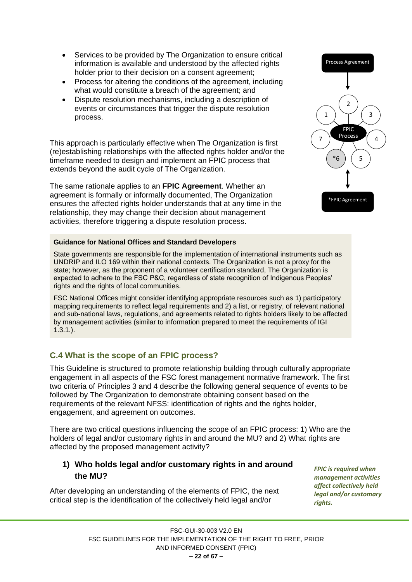- Services to be provided by The Organization to ensure critical information is available and understood by the affected rights holder prior to their decision on a consent agreement;
- Process for altering the conditions of the agreement, including what would constitute a breach of the agreement; and
- Dispute resolution mechanisms, including a description of events or circumstances that trigger the dispute resolution process.

This approach is particularly effective when The Organization is first (re)establishing relationships with the affected rights holder and/or the timeframe needed to design and implement an FPIC process that extends beyond the audit cycle of The Organization.

The same rationale applies to an **FPIC Agreement**. Whether an agreement is formally or informally documented, The Organization ensures the affected rights holder understands that at any time in the relationship, they may change their decision about management activities, therefore triggering a dispute resolution process.



#### **Guidance for National Offices and Standard Developers**

State governments are responsible for the implementation of international instruments such as UNDRIP and ILO 169 within their national contexts. The Organization is not a proxy for the state; however, as the proponent of a volunteer certification standard, The Organization is expected to adhere to the FSC P&C, regardless of state recognition of Indigenous Peoples' rights and the rights of local communities.

FSC National Offices might consider identifying appropriate resources such as 1) participatory mapping requirements to reflect legal requirements and 2) a list, or registry, of relevant national and sub-national laws, regulations, and agreements related to rights holders likely to be affected by management activities (similar to information prepared to meet the requirements of IGI 1.3.1.).

#### <span id="page-21-0"></span>**C.4 What is the scope of an FPIC process?**

This Guideline is structured to promote relationship building through culturally appropriate engagement in all aspects of the FSC forest management normative framework. The first two criteria of Principles 3 and 4 describe the following general sequence of events to be followed by The Organization to demonstrate obtaining consent based on the requirements of the relevant NFSS: identification of rights and the rights holder, engagement, and agreement on outcomes.

There are two critical questions influencing the scope of an FPIC process: 1) Who are the holders of legal and/or customary rights in and around the MU? and 2) What rights are affected by the proposed management activity?

#### <span id="page-21-1"></span>**1) Who holds legal and/or customary rights in and around the MU?**

After developing an understanding of the elements of FPIC, the next critical step is the identification of the collectively held legal and/or

*FPIC is required when management activities affect collectively held legal and/or customary rights.*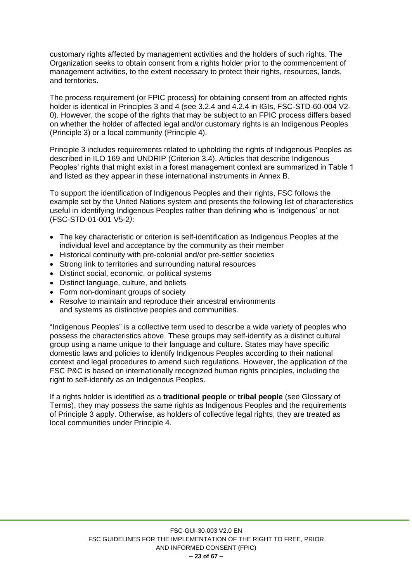customary rights affected by management activities and the holders of such rights. The Organization seeks to obtain consent from a rights holder prior to the commencement of management activities, to the extent necessary to protect their rights, resources, lands, and territories.

The process requirement (or FPIC process) for obtaining consent from an affected rights holder is identical in Principles 3 and 4 (see 3.2.4 and 4.2.4 in IGIs, FSC-STD-60-004 V2- 0). However, the scope of the rights that may be subject to an FPIC process differs based on whether the holder of affected legal and/or customary rights is an Indigenous Peoples (Principle 3) or a local community (Principle 4).

Principle 3 includes requirements related to upholding the rights of Indigenous Peoples as described in ILO 169 and UNDRIP (Criterion 3.4). Articles that describe Indigenous Peoples' rights that might exist in a forest management context are summarized in Table 1 and listed as they appear in these international instruments in Annex B.

To support the identification of Indigenous Peoples and their rights, FSC follows the example set by the United Nations system and presents the following list of characteristics useful in identifying Indigenous Peoples rather than defining who is 'indigenous' or not (FSC-STD-01-001 V5-2*)*:

- The key characteristic or criterion is self-identification as Indigenous Peoples at the individual level and acceptance by the community as their member
- Historical continuity with pre-colonial and/or pre-settler societies
- Strong link to territories and surrounding natural resources
- Distinct social, economic, or political systems
- Distinct language, culture, and beliefs
- Form non-dominant groups of society
- Resolve to maintain and reproduce their ancestral environments and systems as distinctive peoples and communities.

"Indigenous Peoples" is a collective term used to describe a wide variety of peoples who possess the characteristics above. These groups may self-identify as a distinct cultural group using a name unique to their language and culture. States may have specific domestic laws and policies to identify Indigenous Peoples according to their national context and legal procedures to amend such regulations. However, the application of the FSC P&C is based on internationally recognized human rights principles, including the right to self-identify as an Indigenous Peoples.

If a rights holder is identified as a **traditional people** or **tribal people** (see Glossary of Terms), they may possess the same rights as Indigenous Peoples and the requirements of Principle 3 apply. Otherwise, as holders of collective legal rights, they are treated as local communities under Principle 4.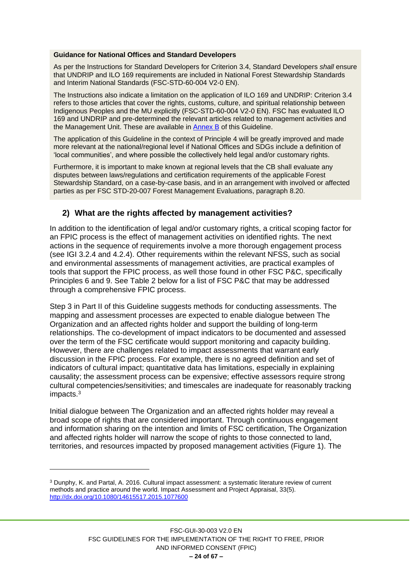#### **Guidance for National Offices and Standard Developers**

As per the Instructions for Standard Developers for Criterion 3.4, Standard Developers *shall* ensure that UNDRIP and ILO 169 requirements are included in National Forest Stewardship Standards and Interim National Standards (FSC-STD-60-004 V2-0 EN).

The Instructions also indicate a limitation on the application of ILO 169 and UNDRIP: Criterion 3.4 refers to those articles that cover the rights, customs, culture, and spiritual relationship between Indigenous Peoples and the MU explicitly (FSC-STD-60-004 V2-0 EN). FSC has evaluated ILO 169 and UNDRIP and pre-determined the relevant articles related to management activities and the Management Unit. These are available in [Annex B](file:///C:/Users/j.meier-doernberg/Documents/22102019/23102018/PSU/FPIC/Pamela/Public%20Consultation%20V2.0/FSCIC%20FPIC%20D2_27052020_FINAL%20CORR.docx%23_ANNEX_C:_Relevant) of this Guideline.

The application of this Guideline in the context of Principle 4 will be greatly improved and made more relevant at the national/regional level if National Offices and SDGs include a definition of 'local communities', and where possible the collectively held legal and/or customary rights.

Furthermore, it is important to make known at regional levels that the CB shall evaluate any disputes between laws/regulations and certification requirements of the applicable Forest Stewardship Standard, on a case-by-case basis, and in an arrangement with involved or affected parties as per FSC STD-20-007 Forest Management Evaluations, paragraph 8.20.

#### <span id="page-23-0"></span>**2) What are the rights affected by management activities?**

In addition to the identification of legal and/or customary rights, a critical scoping factor for an FPIC process is the effect of management activities on identified rights. The next actions in the sequence of requirements involve a more thorough engagement process (see IGI 3.2.4 and 4.2.4). Other requirements within the relevant NFSS, such as social and environmental assessments of management activities, are practical examples of tools that support the FPIC process, as well those found in other FSC P&C, specifically Principles 6 and 9. See Table 2 below for a list of FSC P&C that may be addressed through a comprehensive FPIC process.

Step 3 in Part II of this Guideline suggests methods for conducting assessments. The mapping and assessment processes are expected to enable dialogue between The Organization and an affected rights holder and support the building of long-term relationships. The co-development of impact indicators to be documented and assessed over the term of the FSC certificate would support monitoring and capacity building. However, there are challenges related to impact assessments that warrant early discussion in the FPIC process. For example, there is no agreed definition and set of indicators of cultural impact; quantitative data has limitations, especially in explaining causality; the assessment process can be expensive; effective assessors require strong cultural competencies/sensitivities; and timescales are inadequate for reasonably tracking impacts.<sup>3</sup>

Initial dialogue between The Organization and an affected rights holder may reveal a broad scope of rights that are considered important. Through continuous engagement and information sharing on the intention and limits of FSC certification, The Organization and affected rights holder will narrow the scope of rights to those connected to land, territories, and resources impacted by proposed management activities (Figure 1). The

<sup>3</sup> Dunphy, K. and Partal, A. 2016. Cultural impact assessment: a systematic literature review of current methods and practice around the world. Impact Assessment and Project Appraisal, 33(5). <http://dx.doi.org/10.1080/14615517.2015.1077600>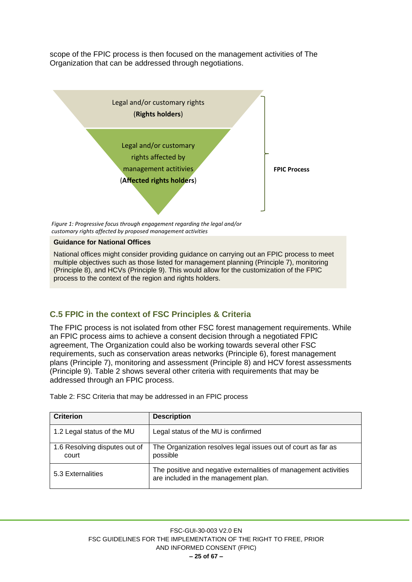scope of the FPIC process is then focused on the management activities of The Organization that can be addressed through negotiations.



*Figure 1: Progressive focus through engagement regarding the legal and/or customary rights affected by proposed management activities*

#### **Guidance for National Offices**

National offices might consider providing guidance on carrying out an FPIC process to meet multiple objectives such as those listed for management planning (Principle 7), monitoring (Principle 8), and HCVs (Principle 9). This would allow for the customization of the FPIC process to the context of the region and rights holders.

## <span id="page-24-0"></span>**C.5 FPIC in the context of FSC Principles & Criteria**

The FPIC process is not isolated from other FSC forest management requirements. While an FPIC process aims to achieve a consent decision through a negotiated FPIC agreement, The Organization could also be working towards several other FSC requirements, such as conservation areas networks (Principle 6), forest management plans (Principle 7), monitoring and assessment (Principle 8) and HCV forest assessments (Principle 9). Table 2 shows several other criteria with requirements that may be addressed through an FPIC process.

| <b>Criterion</b>                       | <b>Description</b>                                                                                       |
|----------------------------------------|----------------------------------------------------------------------------------------------------------|
| 1.2 Legal status of the MU             | Legal status of the MU is confirmed                                                                      |
| 1.6 Resolving disputes out of<br>court | The Organization resolves legal issues out of court as far as<br>possible                                |
| 5.3 Externalities                      | The positive and negative externalities of management activities<br>are included in the management plan. |

Table 2: FSC Criteria that may be addressed in an FPIC process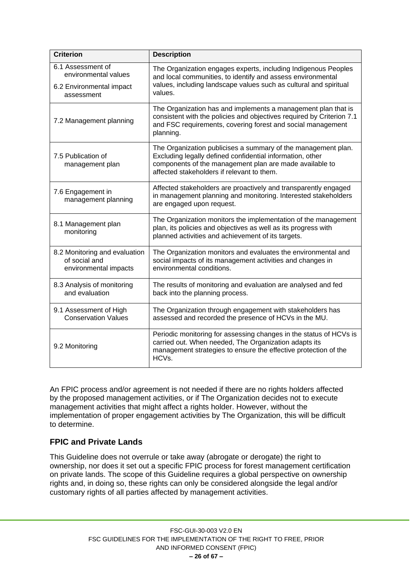| <b>Criterion</b>                                                        | <b>Description</b>                                                                                                                                                                                                                  |  |
|-------------------------------------------------------------------------|-------------------------------------------------------------------------------------------------------------------------------------------------------------------------------------------------------------------------------------|--|
| 6.1 Assessment of<br>environmental values<br>6.2 Environmental impact   | The Organization engages experts, including Indigenous Peoples<br>and local communities, to identify and assess environmental<br>values, including landscape values such as cultural and spiritual<br>values.                       |  |
| assessment                                                              |                                                                                                                                                                                                                                     |  |
| 7.2 Management planning                                                 | The Organization has and implements a management plan that is<br>consistent with the policies and objectives required by Criterion 7.1<br>and FSC requirements, covering forest and social management<br>planning.                  |  |
| 7.5 Publication of<br>management plan                                   | The Organization publicises a summary of the management plan.<br>Excluding legally defined confidential information, other<br>components of the management plan are made available to<br>affected stakeholders if relevant to them. |  |
| 7.6 Engagement in<br>management planning                                | Affected stakeholders are proactively and transparently engaged<br>in management planning and monitoring. Interested stakeholders<br>are engaged upon request.                                                                      |  |
| 8.1 Management plan<br>monitoring                                       | The Organization monitors the implementation of the management<br>plan, its policies and objectives as well as its progress with<br>planned activities and achievement of its targets.                                              |  |
| 8.2 Monitoring and evaluation<br>of social and<br>environmental impacts | The Organization monitors and evaluates the environmental and<br>social impacts of its management activities and changes in<br>environmental conditions.                                                                            |  |
| 8.3 Analysis of monitoring<br>and evaluation                            | The results of monitoring and evaluation are analysed and fed<br>back into the planning process.                                                                                                                                    |  |
| 9.1 Assessment of High<br><b>Conservation Values</b>                    | The Organization through engagement with stakeholders has<br>assessed and recorded the presence of HCVs in the MU.                                                                                                                  |  |
| 9.2 Monitoring                                                          | Periodic monitoring for assessing changes in the status of HCVs is<br>carried out. When needed, The Organization adapts its<br>management strategies to ensure the effective protection of the<br>HCVs.                             |  |

An FPIC process and/or agreement is not needed if there are no rights holders affected by the proposed management activities, or if The Organization decides not to execute management activities that might affect a rights holder. However, without the implementation of proper engagement activities by The Organization, this will be difficult to determine.

## <span id="page-25-0"></span>**FPIC and Private Lands**

This Guideline does not overrule or take away (abrogate or derogate) the right to ownership, nor does it set out a specific FPIC process for forest management certification on private lands. The scope of this Guideline requires a global perspective on ownership rights and, in doing so, these rights can only be considered alongside the legal and/or customary rights of all parties affected by management activities.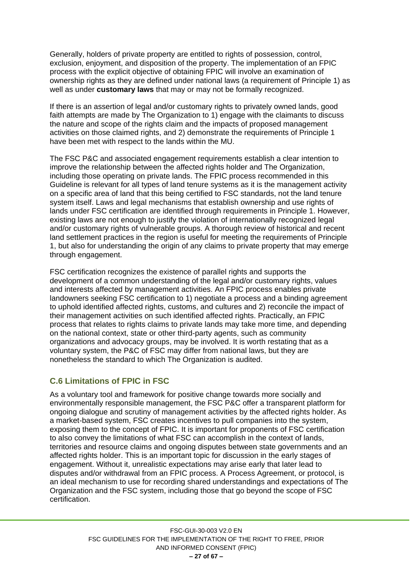Generally, holders of private property are entitled to rights of possession, control, exclusion, enjoyment, and disposition of the property. The implementation of an FPIC process with the explicit objective of obtaining FPIC will involve an examination of ownership rights as they are defined under national laws (a requirement of Principle 1) as well as under **customary laws** that may or may not be formally recognized.

If there is an assertion of legal and/or customary rights to privately owned lands, good faith attempts are made by The Organization to 1) engage with the claimants to discuss the nature and scope of the rights claim and the impacts of proposed management activities on those claimed rights, and 2) demonstrate the requirements of Principle 1 have been met with respect to the lands within the MU.

The FSC P&C and associated engagement requirements establish a clear intention to improve the relationship between the affected rights holder and The Organization, including those operating on private lands. The FPIC process recommended in this Guideline is relevant for all types of land tenure systems as it is the management activity on a specific area of land that this being certified to FSC standards, not the land tenure system itself. Laws and legal mechanisms that establish ownership and use rights of lands under FSC certification are identified through requirements in Principle 1. However, existing laws are not enough to justify the violation of internationally recognized legal and/or customary rights of vulnerable groups. A thorough review of historical and recent land settlement practices in the region is useful for meeting the requirements of Principle 1, but also for understanding the origin of any claims to private property that may emerge through engagement.

FSC certification recognizes the existence of parallel rights and supports the development of a common understanding of the legal and/or customary rights, values and interests affected by management activities. An FPIC process enables private landowners seeking FSC certification to 1) negotiate a process and a binding agreement to uphold identified affected rights, customs, and cultures and 2) reconcile the impact of their management activities on such identified affected rights. Practically, an FPIC process that relates to rights claims to private lands may take more time, and depending on the national context, state or other third-party agents, such as community organizations and advocacy groups, may be involved. It is worth restating that as a voluntary system, the P&C of FSC may differ from national laws, but they are nonetheless the standard to which The Organization is audited.

# <span id="page-26-0"></span>**C.6 Limitations of FPIC in FSC**

As a voluntary tool and framework for positive change towards more socially and environmentally responsible management, the FSC P&C offer a transparent platform for ongoing dialogue and scrutiny of management activities by the affected rights holder. As a market-based system, FSC creates incentives to pull companies into the system, exposing them to the concept of FPIC. It is important for proponents of FSC certification to also convey the limitations of what FSC can accomplish in the context of lands, territories and resource claims and ongoing disputes between state governments and an affected rights holder. This is an important topic for discussion in the early stages of engagement. Without it, unrealistic expectations may arise early that later lead to disputes and/or withdrawal from an FPIC process. A Process Agreement, or protocol, is an ideal mechanism to use for recording shared understandings and expectations of The Organization and the FSC system, including those that go beyond the scope of FSC certification.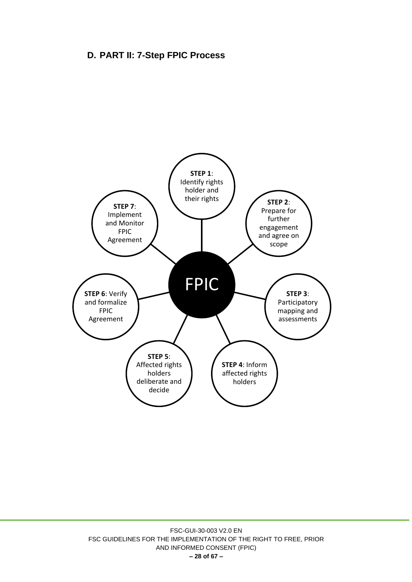# <span id="page-27-0"></span>**D. PART II: 7-Step FPIC Process**

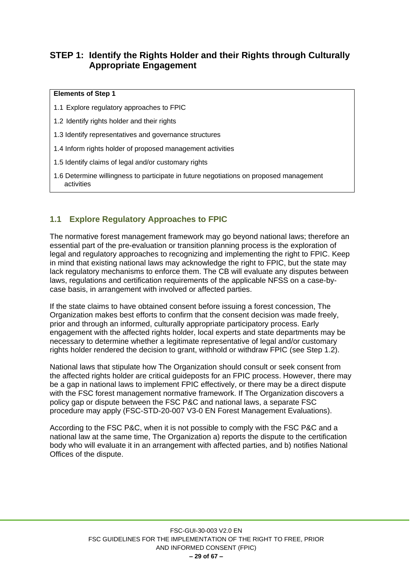# <span id="page-28-0"></span>**STEP 1: Identify the Rights Holder and their Rights through Culturally Appropriate Engagement**

#### **Elements of Step 1**

- 1.1 Explore regulatory approaches to FPIC
- 1.2 Identify rights holder and their rights
- 1.3 Identify representatives and governance structures
- 1.4 Inform rights holder of proposed management activities
- 1.5 Identify claims of legal and/or customary rights
- 1.6 Determine willingness to participate in future negotiations on proposed management activities

## <span id="page-28-1"></span>**1.1 Explore Regulatory Approaches to FPIC**

The normative forest management framework may go beyond national laws; therefore an essential part of the pre-evaluation or transition planning process is the exploration of legal and regulatory approaches to recognizing and implementing the right to FPIC. Keep in mind that existing national laws may acknowledge the right to FPIC, but the state may lack regulatory mechanisms to enforce them. The CB will evaluate any disputes between laws, regulations and certification requirements of the applicable NFSS on a case-bycase basis, in arrangement with involved or affected parties.

If the state claims to have obtained consent before issuing a forest concession, The Organization makes best efforts to confirm that the consent decision was made freely, prior and through an informed, culturally appropriate participatory process. Early engagement with the affected rights holder, local experts and state departments may be necessary to determine whether a legitimate representative of legal and/or customary rights holder rendered the decision to grant, withhold or withdraw FPIC (see Step 1.2).

National laws that stipulate how The Organization should consult or seek consent from the affected rights holder are critical guideposts for an FPIC process. However, there may be a gap in national laws to implement FPIC effectively, or there may be a direct dispute with the FSC forest management normative framework. If The Organization discovers a policy gap or dispute between the FSC P&C and national laws, a separate FSC procedure may apply (FSC-STD-20-007 V3-0 EN Forest Management Evaluations).

According to the FSC P&C, when it is not possible to comply with the FSC P&C and a national law at the same time, The Organization a) reports the dispute to the certification body who will evaluate it in an arrangement with affected parties, and b) notifies National Offices of the dispute.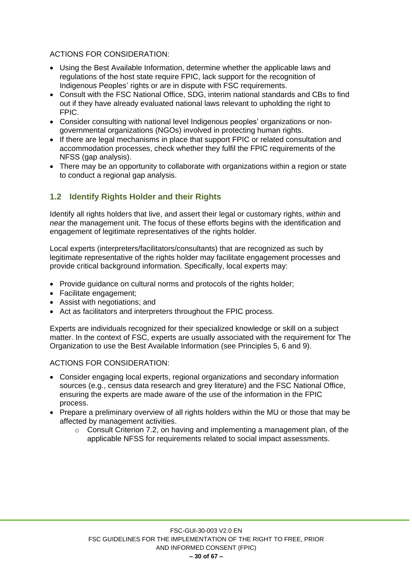#### ACTIONS FOR CONSIDERATION:

- Using the Best Available Information, determine whether the applicable laws and regulations of the host state require FPIC, lack support for the recognition of Indigenous Peoples' rights or are in dispute with FSC requirements.
- Consult with the FSC National Office, SDG, interim national standards and CBs to find out if they have already evaluated national laws relevant to upholding the right to FPIC.
- Consider consulting with national level Indigenous peoples' organizations or nongovernmental organizations (NGOs) involved in protecting human rights.
- If there are legal mechanisms in place that support FPIC or related consultation and accommodation processes, check whether they fulfil the FPIC requirements of the NFSS (gap analysis).
- There may be an opportunity to collaborate with organizations within a region or state to conduct a regional gap analysis.

# <span id="page-29-0"></span>**1.2 Identify Rights Holder and their Rights**

Identify all rights holders that live, and assert their legal or customary rights, *within* and *near* the management unit. The focus of these efforts begins with the identification and engagement of legitimate representatives of the rights holder.

Local experts (interpreters/facilitators/consultants) that are recognized as such by legitimate representative of the rights holder may facilitate engagement processes and provide critical background information. Specifically, local experts may:

- Provide guidance on cultural norms and protocols of the rights holder;
- Facilitate engagement;
- Assist with negotiations; and
- Act as facilitators and interpreters throughout the FPIC process.

Experts are individuals recognized for their specialized knowledge or skill on a subject matter. In the context of FSC, experts are usually associated with the requirement for The Organization to use the Best Available Information (see Principles 5, 6 and 9).

- Consider engaging local experts, regional organizations and secondary information sources (e.g., census data research and grey literature) and the FSC National Office, ensuring the experts are made aware of the use of the information in the FPIC process.
- Prepare a preliminary overview of all rights holders within the MU or those that may be affected by management activities.
	- o Consult Criterion 7.2, on having and implementing a management plan, of the applicable NFSS for requirements related to social impact assessments.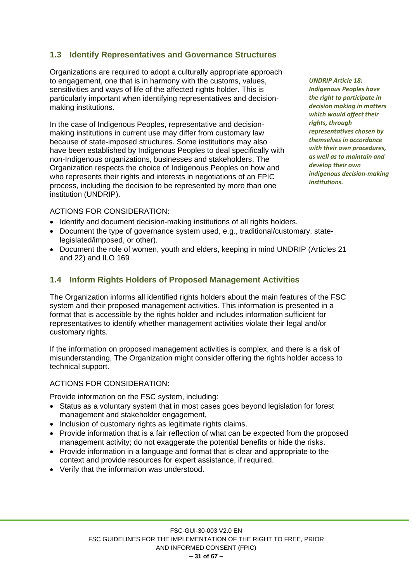## <span id="page-30-0"></span>**1.3 Identify Representatives and Governance Structures**

Organizations are required to adopt a culturally appropriate approach to engagement, one that is in harmony with the customs, values, sensitivities and ways of life of the affected rights holder. This is particularly important when identifying representatives and decisionmaking institutions.

In the case of Indigenous Peoples, representative and decisionmaking institutions in current use may differ from customary law because of state-imposed structures. Some institutions may also have been established by Indigenous Peoples to deal specifically with non-Indigenous organizations, businesses and stakeholders. The Organization respects the choice of Indigenous Peoples on how and who represents their rights and interests in negotiations of an FPIC process, including the decision to be represented by more than one institution (UNDRIP).

*UNDRIP Article 18: Indigenous Peoples have the right to participate in decision making in matters which would affect their rights, through representatives chosen by themselves in accordance with their own procedures, as well as to maintain and develop their own indigenous decision-making institutions.* 

#### ACTIONS FOR CONSIDERATION:

- Identify and document decision-making institutions of all rights holders.
- Document the type of governance system used, e.g., traditional/customary, statelegislated/imposed, or other).
- Document the role of women, youth and elders, keeping in mind UNDRIP (Articles 21 and 22) and ILO 169

#### <span id="page-30-1"></span>**1.4 Inform Rights Holders of Proposed Management Activities**

The Organization informs all identified rights holders about the main features of the FSC system and their proposed management activities. This information is presented in a format that is accessible by the rights holder and includes information sufficient for representatives to identify whether management activities violate their legal and/or customary rights.

If the information on proposed management activities is complex, and there is a risk of misunderstanding, The Organization might consider offering the rights holder access to technical support.

#### ACTIONS FOR CONSIDERATION:

Provide information on the FSC system, including:

- Status as a voluntary system that in most cases goes beyond legislation for forest management and stakeholder engagement,
- Inclusion of customary rights as legitimate rights claims.
- Provide information that is a fair reflection of what can be expected from the proposed management activity; do not exaggerate the potential benefits or hide the risks.
- Provide information in a language and format that is clear and appropriate to the context and provide resources for expert assistance, if required.
- Verify that the information was understood.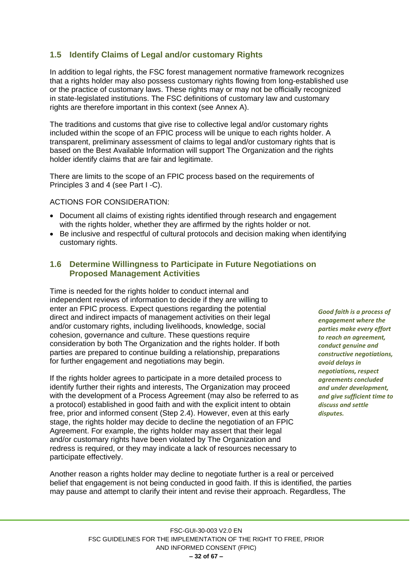# <span id="page-31-0"></span>**1.5 Identify Claims of Legal and/or customary Rights**

In addition to legal rights, the FSC forest management normative framework recognizes that a rights holder may also possess customary rights flowing from long-established use or the practice of customary laws. These rights may or may not be officially recognized in state-legislated institutions. The FSC definitions of customary law and customary rights are therefore important in this context (see Annex A).

The traditions and customs that give rise to collective legal and/or customary rights included within the scope of an FPIC process will be unique to each rights holder. A transparent, preliminary assessment of claims to legal and/or customary rights that is based on the Best Available Information will support The Organization and the rights holder identify claims that are fair and legitimate.

There are limits to the scope of an FPIC process based on the requirements of Principles 3 and 4 (see Part I -C).

#### ACTIONS FOR CONSIDERATION:

- Document all claims of existing rights identified through research and engagement with the rights holder, whether they are affirmed by the rights holder or not.
- Be inclusive and respectful of cultural protocols and decision making when identifying customary rights.

#### <span id="page-31-1"></span>**1.6 Determine Willingness to Participate in Future Negotiations on Proposed Management Activities**

Time is needed for the rights holder to conduct internal and independent reviews of information to decide if they are willing to enter an FPIC process. Expect questions regarding the potential direct and indirect impacts of management activities on their legal and/or customary rights, including livelihoods, knowledge, social cohesion, governance and culture. These questions require consideration by both The Organization and the rights holder. If both parties are prepared to continue building a relationship, preparations for further engagement and negotiations may begin.

If the rights holder agrees to participate in a more detailed process to identify further their rights and interests, The Organization may proceed with the development of a Process Agreement (may also be referred to as a protocol) established in good faith and with the explicit intent to obtain free, prior and informed consent (Step 2.4). However, even at this early stage, the rights holder may decide to decline the negotiation of an FPIC Agreement. For example, the rights holder may assert that their legal and/or customary rights have been violated by The Organization and redress is required, or they may indicate a lack of resources necessary to participate effectively.

*Good faith is a process of engagement where the parties make every effort to reach an agreement, conduct genuine and constructive negotiations, avoid delays in negotiations, respect agreements concluded and under development, and give sufficient time to discuss and settle disputes.*

Another reason a rights holder may decline to negotiate further is a real or perceived belief that engagement is not being conducted in good faith. If this is identified, the parties may pause and attempt to clarify their intent and revise their approach. Regardless, The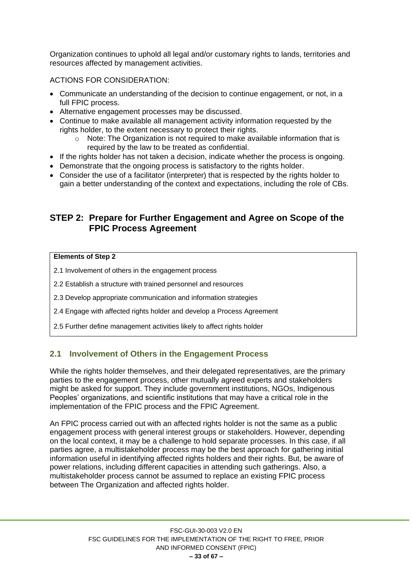Organization continues to uphold all legal and/or customary rights to lands, territories and resources affected by management activities.

#### ACTIONS FOR CONSIDERATION:

- Communicate an understanding of the decision to continue engagement, or not, in a full FPIC process.
- Alternative engagement processes may be discussed.
- Continue to make available all management activity information requested by the rights holder, to the extent necessary to protect their rights.
	- o Note: The Organization is not required to make available information that is required by the law to be treated as confidential.
- If the rights holder has not taken a decision, indicate whether the process is ongoing.
- Demonstrate that the ongoing process is satisfactory to the rights holder.
- Consider the use of a facilitator (interpreter) that is respected by the rights holder to gain a better understanding of the context and expectations, including the role of CBs.

## <span id="page-32-0"></span>**STEP 2: Prepare for Further Engagement and Agree on Scope of the FPIC Process Agreement**

#### **Elements of Step 2**

- 2.1 Involvement of others in the engagement process
- 2.2 Establish a structure with trained personnel and resources
- 2.3 Develop appropriate communication and information strategies
- 2.4 Engage with affected rights holder and develop a Process Agreement
- 2.5 Further define management activities likely to affect rights holder

## <span id="page-32-1"></span>**2.1 Involvement of Others in the Engagement Process**

While the rights holder themselves, and their delegated representatives, are the primary parties to the engagement process, other mutually agreed experts and stakeholders might be asked for support. They include government institutions, NGOs, Indigenous Peoples' organizations, and scientific institutions that may have a critical role in the implementation of the FPIC process and the FPIC Agreement.

An FPIC process carried out with an affected rights holder is not the same as a public engagement process with general interest groups or stakeholders. However, depending on the local context, it may be a challenge to hold separate processes. In this case, if all parties agree, a multistakeholder process may be the best approach for gathering initial information useful in identifying affected rights holders and their rights. But, be aware of power relations, including different capacities in attending such gatherings. Also, a multistakeholder process cannot be assumed to replace an existing FPIC process between The Organization and affected rights holder.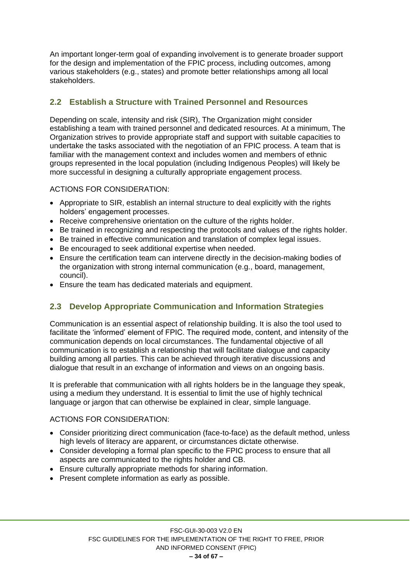An important longer-term goal of expanding involvement is to generate broader support for the design and implementation of the FPIC process, including outcomes, among various stakeholders (e.g., states) and promote better relationships among all local stakeholders.

# <span id="page-33-0"></span>**2.2 Establish a Structure with Trained Personnel and Resources**

Depending on scale, intensity and risk (SIR), The Organization might consider establishing a team with trained personnel and dedicated resources. At a minimum, The Organization strives to provide appropriate staff and support with suitable capacities to undertake the tasks associated with the negotiation of an FPIC process. A team that is familiar with the management context and includes women and members of ethnic groups represented in the local population (including Indigenous Peoples) will likely be more successful in designing a culturally appropriate engagement process.

ACTIONS FOR CONSIDERATION:

- Appropriate to SIR, establish an internal structure to deal explicitly with the rights holders' engagement processes.
- Receive comprehensive orientation on the culture of the rights holder.
- Be trained in recognizing and respecting the protocols and values of the rights holder.
- Be trained in effective communication and translation of complex legal issues.
- Be encouraged to seek additional expertise when needed.
- Ensure the certification team can intervene directly in the decision-making bodies of the organization with strong internal communication (e.g., board, management, council).
- Ensure the team has dedicated materials and equipment.

## <span id="page-33-1"></span>**2.3 Develop Appropriate Communication and Information Strategies**

Communication is an essential aspect of relationship building. It is also the tool used to facilitate the 'informed' element of FPIC. The required mode, content, and intensity of the communication depends on local circumstances. The fundamental objective of all communication is to establish a relationship that will facilitate dialogue and capacity building among all parties. This can be achieved through iterative discussions and dialogue that result in an exchange of information and views on an ongoing basis.

It is preferable that communication with all rights holders be in the language they speak, using a medium they understand. It is essential to limit the use of highly technical language or jargon that can otherwise be explained in clear, simple language.

- Consider prioritizing direct communication (face-to-face) as the default method, unless high levels of literacy are apparent, or circumstances dictate otherwise.
- Consider developing a formal plan specific to the FPIC process to ensure that all aspects are communicated to the rights holder and CB.
- Ensure culturally appropriate methods for sharing information.
- Present complete information as early as possible.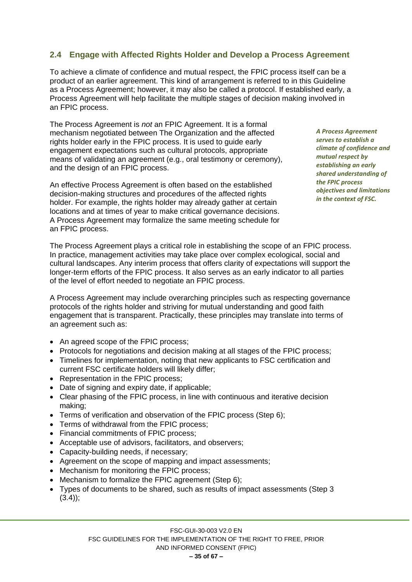# <span id="page-34-0"></span>**2.4 Engage with Affected Rights Holder and Develop a Process Agreement**

To achieve a climate of confidence and mutual respect, the FPIC process itself can be a product of an earlier agreement. This kind of arrangement is referred to in this Guideline as a Process Agreement; however, it may also be called a protocol. If established early, a Process Agreement will help facilitate the multiple stages of decision making involved in an FPIC process.

The Process Agreement is *not* an FPIC Agreement. It is a formal mechanism negotiated between The Organization and the affected rights holder early in the FPIC process. It is used to guide early engagement expectations such as cultural protocols, appropriate means of validating an agreement (e.g., oral testimony or ceremony), and the design of an FPIC process.

An effective Process Agreement is often based on the established decision-making structures and procedures of the affected rights holder. For example, the rights holder may already gather at certain locations and at times of year to make critical governance decisions. A Process Agreement may formalize the same meeting schedule for an FPIC process.

*A Process Agreement serves to establish a climate of confidence and mutual respect by establishing an early shared understanding of the FPIC process objectives and limitations in the context of FSC.*

The Process Agreement plays a critical role in establishing the scope of an FPIC process. In practice, management activities may take place over complex ecological, social and cultural landscapes. Any interim process that offers clarity of expectations will support the longer-term efforts of the FPIC process. It also serves as an early indicator to all parties of the level of effort needed to negotiate an FPIC process.

A Process Agreement may include overarching principles such as respecting governance protocols of the rights holder and striving for mutual understanding and good faith engagement that is transparent. Practically, these principles may translate into terms of an agreement such as:

- An agreed scope of the FPIC process;
- Protocols for negotiations and decision making at all stages of the FPIC process;
- Timelines for implementation, noting that new applicants to FSC certification and current FSC certificate holders will likely differ;
- Representation in the FPIC process;
- Date of signing and expiry date, if applicable;
- Clear phasing of the FPIC process, in line with continuous and iterative decision making;
- Terms of verification and observation of the FPIC process (Step 6);
- Terms of withdrawal from the FPIC process;
- Financial commitments of FPIC process;
- Acceptable use of advisors, facilitators, and observers;
- Capacity-building needs, if necessary;
- Agreement on the scope of mapping and impact assessments;
- Mechanism for monitoring the FPIC process;
- Mechanism to formalize the FPIC agreement (Step 6);
- Types of documents to be shared, such as results of impact assessments (Step 3  $(3.4)$ ;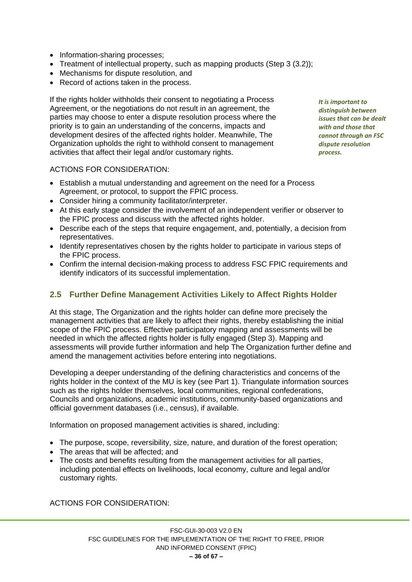- Information-sharing processes;
- Treatment of intellectual property, such as mapping products (Step 3 (3.2));
- Mechanisms for dispute resolution, and
- Record of actions taken in the process.

If the rights holder withholds their consent to negotiating a Process Agreement, or the negotiations do not result in an agreement, the parties may choose to enter a dispute resolution process where the priority is to gain an understanding of the concerns, impacts and development desires of the affected rights holder. Meanwhile, The Organization upholds the right to withhold consent to management activities that affect their legal and/or customary rights.

*It is important to distinguish between issues that can be dealt with and those that cannot through an FSC dispute resolution process.*

#### ACTIONS FOR CONSIDERATION:

- Establish a mutual understanding and agreement on the need for a Process Agreement, or protocol, to support the FPIC process.
- Consider hiring a community facilitator/interpreter.
- At this early stage consider the involvement of an independent verifier or observer to the FPIC process and discuss with the affected rights holder.
- Describe each of the steps that require engagement, and, potentially, a decision from representatives.
- Identify representatives chosen by the rights holder to participate in various steps of the FPIC process.
- Confirm the internal decision-making process to address FSC FPIC requirements and identify indicators of its successful implementation.

#### <span id="page-35-0"></span>**2.5 Further Define Management Activities Likely to Affect Rights Holder**

At this stage, The Organization and the rights holder can define more precisely the management activities that are likely to affect their rights, thereby establishing the initial scope of the FPIC process. Effective participatory mapping and assessments will be needed in which the affected rights holder is fully engaged (Step 3). Mapping and assessments will provide further information and help The Organization further define and amend the management activities before entering into negotiations.

Developing a deeper understanding of the defining characteristics and concerns of the rights holder in the context of the MU is key (see Part 1). Triangulate information sources such as the rights holder themselves, local communities, regional confederations, Councils and organizations, academic institutions, community-based organizations and official government databases (i.e., census), if available.

Information on proposed management activities is shared, including:

- The purpose, scope, reversibility, size, nature, and duration of the forest operation;
- The areas that will be affected; and
- The costs and benefits resulting from the management activities for all parties, including potential effects on livelihoods, local economy, culture and legal and/or customary rights.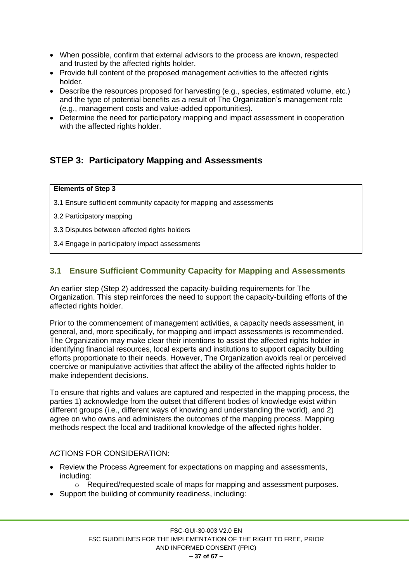- When possible, confirm that external advisors to the process are known, respected and trusted by the affected rights holder.
- Provide full content of the proposed management activities to the affected rights holder.
- Describe the resources proposed for harvesting (e.g., species, estimated volume, etc.) and the type of potential benefits as a result of The Organization's management role (e.g., management costs and value-added opportunities).
- Determine the need for participatory mapping and impact assessment in cooperation with the affected rights holder.

# <span id="page-36-0"></span>**STEP 3: Participatory Mapping and Assessments**

#### **Elements of Step 3**

- 3.1 Ensure sufficient community capacity for mapping and assessments
- 3.2 Participatory mapping
- 3.3 Disputes between affected rights holders
- 3.4 Engage in participatory impact assessments

## <span id="page-36-1"></span>**3.1 Ensure Sufficient Community Capacity for Mapping and Assessments**

An earlier step (Step 2) addressed the capacity-building requirements for The Organization. This step reinforces the need to support the capacity-building efforts of the affected rights holder.

Prior to the commencement of management activities, a capacity needs assessment, in general, and, more specifically, for mapping and impact assessments is recommended. The Organization may make clear their intentions to assist the affected rights holder in identifying financial resources, local experts and institutions to support capacity building efforts proportionate to their needs. However, The Organization avoids real or perceived coercive or manipulative activities that affect the ability of the affected rights holder to make independent decisions.

To ensure that rights and values are captured and respected in the mapping process, the parties 1) acknowledge from the outset that different bodies of knowledge exist within different groups (i.e., different ways of knowing and understanding the world), and 2) agree on who owns and administers the outcomes of the mapping process. Mapping methods respect the local and traditional knowledge of the affected rights holder.

- Review the Process Agreement for expectations on mapping and assessments, including:
	- $\circ$  Required/requested scale of maps for mapping and assessment purposes.
- Support the building of community readiness, including: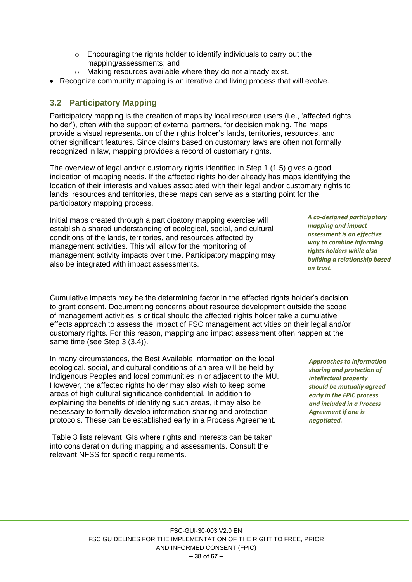- o Encouraging the rights holder to identify individuals to carry out the mapping/assessments; and
- o Making resources available where they do not already exist.
- Recognize community mapping is an iterative and living process that will evolve.

## <span id="page-37-0"></span>**3.2 Participatory Mapping**

Participatory mapping is the creation of maps by local resource users (i.e., 'affected rights holder'), often with the support of external partners, for decision making. The maps provide a visual representation of the rights holder's lands, territories, resources, and other significant features. Since claims based on customary laws are often not formally recognized in law, mapping provides a record of customary rights.

The overview of legal and/or customary rights identified in Step 1 (1.5) gives a good indication of mapping needs. If the affected rights holder already has maps identifying the location of their interests and values associated with their legal and/or customary rights to lands, resources and territories, these maps can serve as a starting point for the participatory mapping process.

Initial maps created through a participatory mapping exercise will establish a shared understanding of ecological, social, and cultural conditions of the lands, territories, and resources affected by management activities. This will allow for the monitoring of management activity impacts over time. Participatory mapping may also be integrated with impact assessments.

Cumulative impacts may be the determining factor in the affected rights holder's decision to grant consent. Documenting concerns about resource development outside the scope of management activities is critical should the affected rights holder take a cumulative effects approach to assess the impact of FSC management activities on their legal and/or customary rights. For this reason, mapping and impact assessment often happen at the same time (see Step 3 (3.4)).

In many circumstances, the Best Available Information on the local ecological, social, and cultural conditions of an area will be held by Indigenous Peoples and local communities in or adjacent to the MU. However, the affected rights holder may also wish to keep some areas of high cultural significance confidential. In addition to explaining the benefits of identifying such areas, it may also be necessary to formally develop information sharing and protection protocols. These can be established early in a Process Agreement.

Table 3 lists relevant IGIs where rights and interests can be taken into consideration during mapping and assessments. Consult the relevant NFSS for specific requirements.

*A co-designed participatory mapping and impact assessment is an effective way to combine informing rights holders while also building a relationship based on trust.*

*Approaches to information sharing and protection of intellectual property should be mutually agreed early in the FPIC process and included in a Process Agreement if one is negotiated.*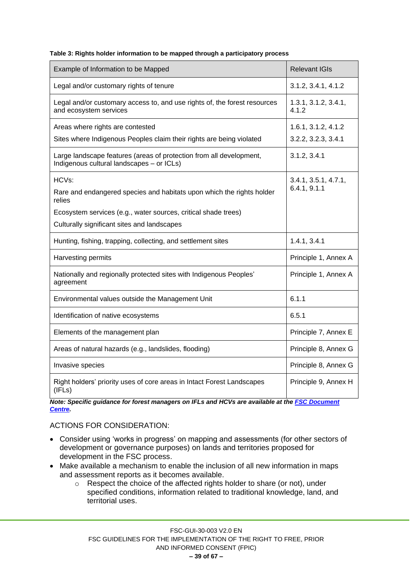| Table 3: Rights holder information to be mapped through a participatory process |  |  |
|---------------------------------------------------------------------------------|--|--|
|                                                                                 |  |  |

| Example of Information to be Mapped                                                                              | <b>Relevant IGIs</b>          |
|------------------------------------------------------------------------------------------------------------------|-------------------------------|
| Legal and/or customary rights of tenure                                                                          | 3.1.2, 3.4.1, 4.1.2           |
| Legal and/or customary access to, and use rights of, the forest resources<br>and ecosystem services              | 1.3.1, 3.1.2, 3.4.1,<br>4.1.2 |
| Areas where rights are contested                                                                                 | 1.6.1, 3.1.2, 4.1.2           |
| Sites where Indigenous Peoples claim their rights are being violated                                             | 3.2.2, 3.2.3, 3.4.1           |
| Large landscape features (areas of protection from all development,<br>Indigenous cultural landscapes - or ICLs) | 3.1.2, 3.4.1                  |
| HCVs:                                                                                                            | 3.4.1, 3.5.1, 4.7.1,          |
| Rare and endangered species and habitats upon which the rights holder<br>relies                                  | 6.4.1, 9.1.1                  |
| Ecosystem services (e.g., water sources, critical shade trees)                                                   |                               |
| Culturally significant sites and landscapes                                                                      |                               |
| Hunting, fishing, trapping, collecting, and settlement sites                                                     | 1.4.1, 3.4.1                  |
| Harvesting permits                                                                                               | Principle 1, Annex A          |
| Nationally and regionally protected sites with Indigenous Peoples'<br>agreement                                  | Principle 1, Annex A          |
| Environmental values outside the Management Unit                                                                 | 6.1.1                         |
| Identification of native ecosystems                                                                              | 6.5.1                         |
| Elements of the management plan                                                                                  | Principle 7, Annex E          |
| Areas of natural hazards (e.g., landslides, flooding)                                                            | Principle 8, Annex G          |
| Invasive species                                                                                                 | Principle 8, Annex G          |
| Right holders' priority uses of core areas in Intact Forest Landscapes<br>(IFLs)                                 | Principle 9, Annex H          |

*Note: Specific guidance for forest managers on IFLs and HCVs are available at the FSC Document [Centre.](https://ic.fsc.org/en/document-center)*

- Consider using 'works in progress' on mapping and assessments (for other sectors of development or governance purposes) on lands and territories proposed for development in the FSC process.
- Make available a mechanism to enable the inclusion of all new information in maps and assessment reports as it becomes available.
	- o Respect the choice of the affected rights holder to share (or not), under specified conditions, information related to traditional knowledge, land, and territorial uses.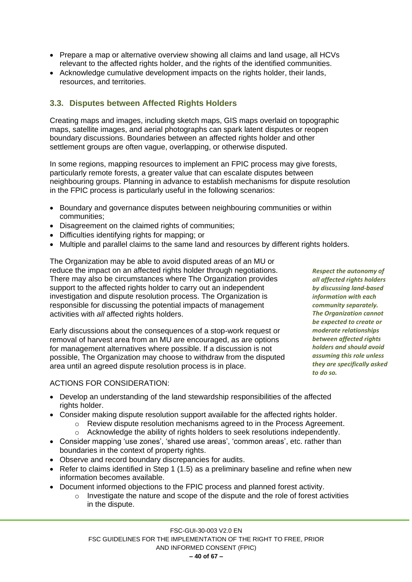- Prepare a map or alternative overview showing all claims and land usage, all HCVs relevant to the affected rights holder, and the rights of the identified communities.
- Acknowledge cumulative development impacts on the rights holder, their lands, resources, and territories.

# <span id="page-39-0"></span>**3.3. Disputes between Affected Rights Holders**

Creating maps and images, including sketch maps, GIS maps overlaid on topographic maps, satellite images, and aerial photographs can spark latent disputes or reopen boundary discussions. Boundaries between an affected rights holder and other settlement groups are often vague, overlapping, or otherwise disputed.

In some regions, mapping resources to implement an FPIC process may give forests, particularly remote forests, a greater value that can escalate disputes between neighbouring groups. Planning in advance to establish mechanisms for dispute resolution in the FPIC process is particularly useful in the following scenarios:

- Boundary and governance disputes between neighbouring communities or within communities;
- Disagreement on the claimed rights of communities;
- Difficulties identifying rights for mapping; or
- Multiple and parallel claims to the same land and resources by different rights holders.

The Organization may be able to avoid disputed areas of an MU or reduce the impact on an affected rights holder through negotiations. There may also be circumstances where The Organization provides support to the affected rights holder to carry out an independent investigation and dispute resolution process. The Organization is responsible for discussing the potential impacts of management activities with *all* affected rights holders.

Early discussions about the consequences of a stop-work request or removal of harvest area from an MU are encouraged, as are options for management alternatives where possible. If a discussion is not possible, The Organization may choose to withdraw from the disputed area until an agreed dispute resolution process is in place.

ACTIONS FOR CONSIDERATION:

- Develop an understanding of the land stewardship responsibilities of the affected rights holder.
- Consider making dispute resolution support available for the affected rights holder.
	- o Review dispute resolution mechanisms agreed to in the Process Agreement.
	- o Acknowledge the ability of rights holders to seek resolutions independently.
- Consider mapping 'use zones', 'shared use areas', 'common areas', etc. rather than boundaries in the context of property rights.
- Observe and record boundary discrepancies for audits.
- Refer to claims identified in Step 1 (1.5) as a preliminary baseline and refine when new information becomes available.
- Document informed objections to the FPIC process and planned forest activity.
	- o Investigate the nature and scope of the dispute and the role of forest activities in the dispute.

*Respect the autonomy of all affected rights holders by discussing land-based information with each community separately. The Organization cannot be expected to create or moderate relationships between affected rights holders and should avoid assuming this role unless they are specifically asked to do so.*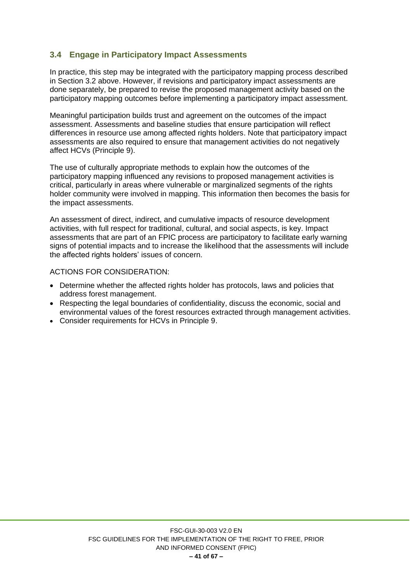## <span id="page-40-0"></span>**3.4 Engage in Participatory Impact Assessments**

In practice, this step may be integrated with the participatory mapping process described in Section 3.2 above. However, if revisions and participatory impact assessments are done separately, be prepared to revise the proposed management activity based on the participatory mapping outcomes before implementing a participatory impact assessment.

Meaningful participation builds trust and agreement on the outcomes of the impact assessment. Assessments and baseline studies that ensure participation will reflect differences in resource use among affected rights holders. Note that participatory impact assessments are also required to ensure that management activities do not negatively affect HCVs (Principle 9).

The use of culturally appropriate methods to explain how the outcomes of the participatory mapping influenced any revisions to proposed management activities is critical, particularly in areas where vulnerable or marginalized segments of the rights holder community were involved in mapping. This information then becomes the basis for the impact assessments.

An assessment of direct, indirect, and cumulative impacts of resource development activities, with full respect for traditional, cultural, and social aspects, is key. Impact assessments that are part of an FPIC process are participatory to facilitate early warning signs of potential impacts and to increase the likelihood that the assessments will include the affected rights holders' issues of concern.

- Determine whether the affected rights holder has protocols, laws and policies that address forest management.
- Respecting the legal boundaries of confidentiality, discuss the economic, social and environmental values of the forest resources extracted through management activities.
- Consider requirements for HCVs in Principle 9.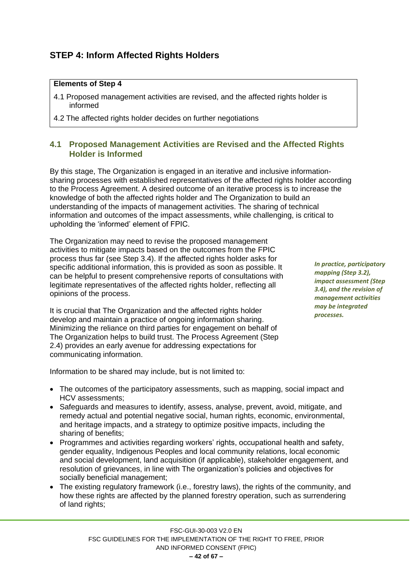# <span id="page-41-0"></span>**STEP 4: Inform Affected Rights Holders**

#### **Elements of Step 4**

- 4.1 Proposed management activities are revised, and the affected rights holder is informed
- 4.2 The affected rights holder decides on further negotiations

#### <span id="page-41-1"></span>**4.1 Proposed Management Activities are Revised and the Affected Rights Holder is Informed**

By this stage, The Organization is engaged in an iterative and inclusive informationsharing processes with established representatives of the affected rights holder according to the Process Agreement. A desired outcome of an iterative process is to increase the knowledge of both the affected rights holder and The Organization to build an understanding of the impacts of management activities. The sharing of technical information and outcomes of the impact assessments, while challenging, is critical to upholding the 'informed' element of FPIC.

The Organization may need to revise the proposed management activities to mitigate impacts based on the outcomes from the FPIC process thus far (see Step 3.4). If the affected rights holder asks for specific additional information, this is provided as soon as possible. It can be helpful to present comprehensive reports of consultations with legitimate representatives of the affected rights holder, reflecting all opinions of the process.

It is crucial that The Organization and the affected rights holder develop and maintain a practice of ongoing information sharing. Minimizing the reliance on third parties for engagement on behalf of The Organization helps to build trust. The Process Agreement (Step 2.4) provides an early avenue for addressing expectations for communicating information.

*In practice, participatory mapping (Step 3.2), impact assessment (Step 3.4), and the revision of management activities may be integrated processes.*

Information to be shared may include, but is not limited to:

- The outcomes of the participatory assessments, such as mapping, social impact and HCV assessments;
- Safeguards and measures to identify, assess, analyse, prevent, avoid, mitigate, and remedy actual and potential negative social, human rights, economic, environmental, and heritage impacts, and a strategy to optimize positive impacts, including the sharing of benefits;
- Programmes and activities regarding workers' rights, occupational health and safety, gender equality, Indigenous Peoples and local community relations, local economic and social development, land acquisition (if applicable), stakeholder engagement, and resolution of grievances, in line with The organization's policies and objectives for socially beneficial management;
- The existing regulatory framework (i.e., forestry laws), the rights of the community, and how these rights are affected by the planned forestry operation, such as surrendering of land rights;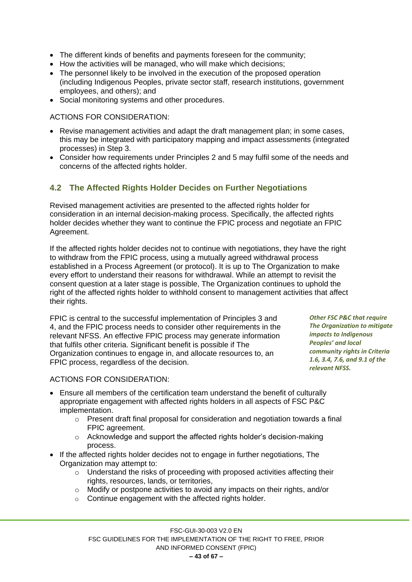- The different kinds of benefits and payments foreseen for the community;
- How the activities will be managed, who will make which decisions:
- The personnel likely to be involved in the execution of the proposed operation (including Indigenous Peoples, private sector staff, research institutions, government employees, and others); and
- Social monitoring systems and other procedures.

ACTIONS FOR CONSIDERATION:

- Revise management activities and adapt the draft management plan; in some cases, this may be integrated with participatory mapping and impact assessments (integrated processes) in Step 3.
- Consider how requirements under Principles 2 and 5 may fulfil some of the needs and concerns of the affected rights holder.

## <span id="page-42-0"></span>**4.2 The Affected Rights Holder Decides on Further Negotiations**

Revised management activities are presented to the affected rights holder for consideration in an internal decision-making process. Specifically, the affected rights holder decides whether they want to continue the FPIC process and negotiate an FPIC Agreement.

If the affected rights holder decides not to continue with negotiations, they have the right to withdraw from the FPIC process, using a mutually agreed withdrawal process established in a Process Agreement (or protocol). It is up to The Organization to make every effort to understand their reasons for withdrawal. While an attempt to revisit the consent question at a later stage is possible, The Organization continues to uphold the right of the affected rights holder to withhold consent to management activities that affect their rights.

FPIC is central to the successful implementation of Principles 3 and 4, and the FPIC process needs to consider other requirements in the relevant NFSS. An effective FPIC process may generate information that fulfils other criteria. Significant benefit is possible if The Organization continues to engage in, and allocate resources to, an FPIC process, regardless of the decision.

*Other FSC P&C that require The Organization to mitigate impacts to Indigenous Peoples' and local community rights in Criteria 1.6, 3.4, 7.6, and 9.1 of the relevant NFSS.*

- Ensure all members of the certification team understand the benefit of culturally appropriate engagement with affected rights holders in all aspects of FSC P&C implementation.
	- $\circ$  Present draft final proposal for consideration and negotiation towards a final FPIC agreement.
	- o Acknowledge and support the affected rights holder's decision-making process.
- If the affected rights holder decides not to engage in further negotiations, The Organization may attempt to:
	- o Understand the risks of proceeding with proposed activities affecting their rights, resources, lands, or territories,
	- o Modify or postpone activities to avoid any impacts on their rights, and/or
	- o Continue engagement with the affected rights holder.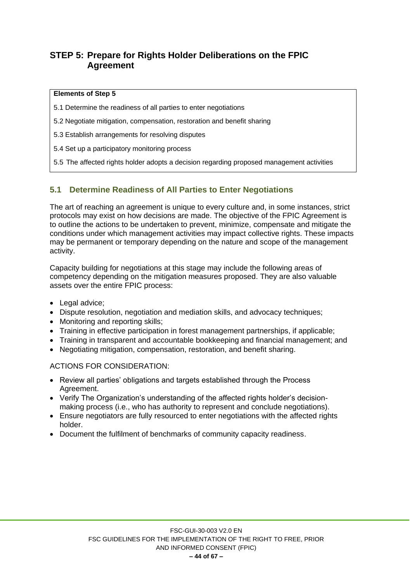# <span id="page-43-0"></span>**STEP 5: Prepare for Rights Holder Deliberations on the FPIC Agreement**

#### **Elements of Step 5**

5.1 Determine the readiness of all parties to enter negotiations

5.2 Negotiate mitigation, compensation, restoration and benefit sharing

5.3 Establish arrangements for resolving disputes

5.4 Set up a participatory monitoring process

5.5 The affected rights holder adopts a decision regarding proposed management activities

## <span id="page-43-1"></span>**5.1 Determine Readiness of All Parties to Enter Negotiations**

The art of reaching an agreement is unique to every culture and, in some instances, strict protocols may exist on how decisions are made. The objective of the FPIC Agreement is to outline the actions to be undertaken to prevent, minimize, compensate and mitigate the conditions under which management activities may impact collective rights. These impacts may be permanent or temporary depending on the nature and scope of the management activity.

Capacity building for negotiations at this stage may include the following areas of competency depending on the mitigation measures proposed. They are also valuable assets over the entire FPIC process:

- Legal advice:
- Dispute resolution, negotiation and mediation skills, and advocacy techniques;
- Monitoring and reporting skills;
- Training in effective participation in forest management partnerships, if applicable;
- Training in transparent and accountable bookkeeping and financial management; and
- Negotiating mitigation, compensation, restoration, and benefit sharing.

- Review all parties' obligations and targets established through the Process Agreement.
- Verify The Organization's understanding of the affected rights holder's decisionmaking process (i.e., who has authority to represent and conclude negotiations).
- Ensure negotiators are fully resourced to enter negotiations with the affected rights holder.
- Document the fulfilment of benchmarks of community capacity readiness.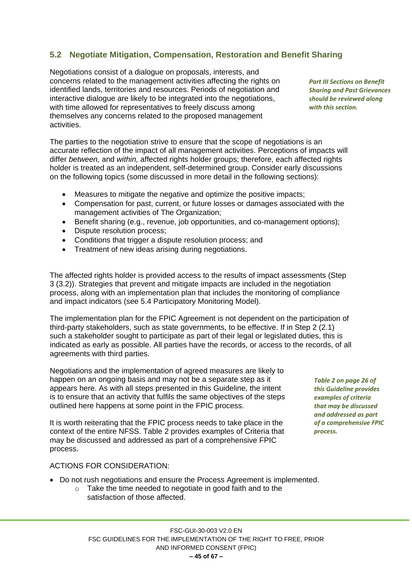# <span id="page-44-0"></span>**5.2 Negotiate Mitigation, Compensation, Restoration and Benefit Sharing**

Negotiations consist of a dialogue on proposals, interests, and concerns related to the management activities affecting the rights on identified lands, territories and resources. Periods of negotiation and interactive dialogue are likely to be integrated into the negotiations, with time allowed for representatives to freely discuss among themselves any concerns related to the proposed management activities.

*Part III Sections on Benefit Sharing and Past Grievances should be reviewed along with this section.*

The parties to the negotiation strive to ensure that the scope of negotiations is an accurate reflection of the impact of all management activities. Perceptions of impacts will differ *between,* and *within,* affected rights holder groups; therefore, each affected rights holder is treated as an independent, self-determined group. Consider early discussions on the following topics (some discussed in more detail in the following sections):

- Measures to mitigate the negative and optimize the positive impacts;
- Compensation for past, current, or future losses or damages associated with the management activities of The Organization;
- Benefit sharing (e.g., revenue, job opportunities, and co-management options);
- Dispute resolution process;
- Conditions that trigger a dispute resolution process; and
- Treatment of new ideas arising during negotiations.

The affected rights holder is provided access to the results of impact assessments (Step 3 (3.2)). Strategies that prevent and mitigate impacts are included in the negotiation process, along with an implementation plan that includes the monitoring of compliance and impact indicators (see 5.4 Participatory Monitoring Model).

The implementation plan for the FPIC Agreement is not dependent on the participation of third-party stakeholders, such as state governments, to be effective. If in Step 2 (2.1) such a stakeholder sought to participate as part of their legal or legislated duties, this is indicated as early as possible. All parties have the records, or access to the records, of all agreements with third parties.

Negotiations and the implementation of agreed measures are likely to happen on an ongoing basis and may not be a separate step as it appears here. As with all steps presented in this Guideline, the intent is to ensure that an activity that fulfils the same objectives of the steps outlined here happens at some point in the FPIC process.

It is worth reiterating that the FPIC process needs to take place in the context of the entire NFSS. Table 2 provides examples of Criteria that may be discussed and addressed as part of a comprehensive FPIC process.

#### ACTIONS FOR CONSIDERATION:

- Do not rush negotiations and ensure the Process Agreement is implemented.
	- o Take the time needed to negotiate in good faith and to the satisfaction of those affected.

*Table 2 on page 26 of this Guideline provides examples of criteria that may be discussed and addressed as part of a comprehensive FPIC process.*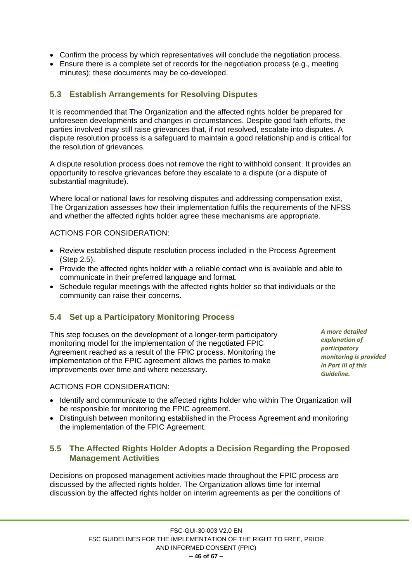- Confirm the process by which representatives will conclude the negotiation process.
- Ensure there is a complete set of records for the negotiation process (e.g., meeting minutes); these documents may be co-developed.

#### <span id="page-45-0"></span>**5.3 Establish Arrangements for Resolving Disputes**

It is recommended that The Organization and the affected rights holder be prepared for unforeseen developments and changes in circumstances. Despite good faith efforts, the parties involved may still raise grievances that, if not resolved, escalate into disputes. A dispute resolution process is a safeguard to maintain a good relationship and is critical for the resolution of grievances.

A dispute resolution process does not remove the right to withhold consent. It provides an opportunity to resolve grievances before they escalate to a dispute (or a dispute of substantial magnitude).

Where local or national laws for resolving disputes and addressing compensation exist, The Organization assesses how their implementation fulfils the requirements of the NFSS and whether the affected rights holder agree these mechanisms are appropriate.

ACTIONS FOR CONSIDERATION:

- Review established dispute resolution process included in the Process Agreement (Step 2.5).
- Provide the affected rights holder with a reliable contact who is available and able to communicate in their preferred language and format.
- Schedule regular meetings with the affected rights holder so that individuals or the community can raise their concerns.

## **5.4 Set up a Participatory Monitoring Process**

<span id="page-45-1"></span>This step focuses on the development of a longer-term participatory monitoring model for the implementation of the negotiated FPIC Agreement reached as a result of the FPIC process. Monitoring the implementation of the FPIC agreement allows the parties to make improvements over time and where necessary.

*A more detailed explanation of participatory monitoring is provided in Part III of this Guideline.*

#### ACTIONS FOR CONSIDERATION:

- Identify and communicate to the affected rights holder who within The Organization will be responsible for monitoring the FPIC agreement.
- Distinguish between monitoring established in the Process Agreement and monitoring the implementation of the FPIC Agreement.

#### <span id="page-45-2"></span>**5.5 The Affected Rights Holder Adopts a Decision Regarding the Proposed Management Activities**

Decisions on proposed management activities made throughout the FPIC process are discussed by the affected rights holder. The Organization allows time for internal discussion by the affected rights holder on interim agreements as per the conditions of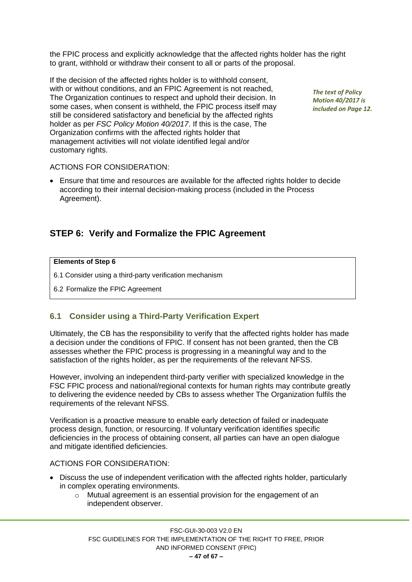the FPIC process and explicitly acknowledge that the affected rights holder has the right to grant, withhold or withdraw their consent to all or parts of the proposal.

If the decision of the affected rights holder is to withhold consent, with or without conditions, and an FPIC Agreement is not reached. The Organization continues to respect and uphold their decision. In some cases, when consent is withheld, the FPIC process itself may still be considered satisfactory and beneficial by the affected rights holder as per *FSC Policy Motion 40/2017*. If this is the case, The Organization confirms with the affected rights holder that management activities will not violate identified legal and/or customary rights.

*The text of Policy Motion 40/2017 is included on Page 12.*

#### ACTIONS FOR CONSIDERATION:

• Ensure that time and resources are available for the affected rights holder to decide according to their internal decision-making process (included in the Process Agreement).

## <span id="page-46-0"></span>**STEP 6: Verify and Formalize the FPIC Agreement**

#### **Elements of Step 6**

- 6.1 Consider using a third-party verification mechanism
- 6.2 Formalize the FPIC Agreement

#### <span id="page-46-1"></span>**6.1 Consider using a Third-Party Verification Expert**

Ultimately, the CB has the responsibility to verify that the affected rights holder has made a decision under the conditions of FPIC. If consent has not been granted, then the CB assesses whether the FPIC process is progressing in a meaningful way and to the satisfaction of the rights holder, as per the requirements of the relevant NFSS.

However, involving an independent third-party verifier with specialized knowledge in the FSC FPIC process and national/regional contexts for human rights may contribute greatly to delivering the evidence needed by CBs to assess whether The Organization fulfils the requirements of the relevant NFSS.

Verification is a proactive measure to enable early detection of failed or inadequate process design, function, or resourcing. If voluntary verification identifies specific deficiencies in the process of obtaining consent, all parties can have an open dialogue and mitigate identified deficiencies.

- Discuss the use of independent verification with the affected rights holder, particularly in complex operating environments.
	- o Mutual agreement is an essential provision for the engagement of an independent observer.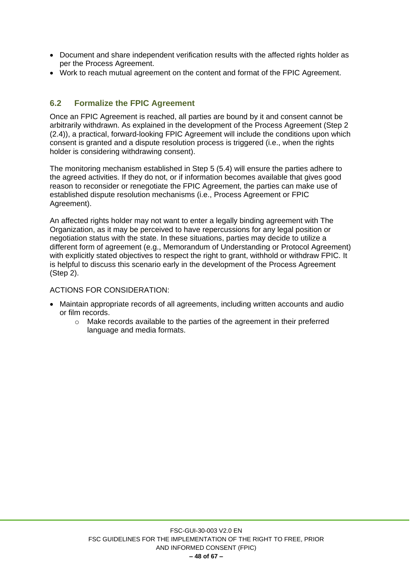- Document and share independent verification results with the affected rights holder as per the Process Agreement.
- Work to reach mutual agreement on the content and format of the FPIC Agreement.

## <span id="page-47-0"></span>**6.2 Formalize the FPIC Agreement**

Once an FPIC Agreement is reached, all parties are bound by it and consent cannot be arbitrarily withdrawn. As explained in the development of the Process Agreement (Step 2 (2.4)), a practical, forward-looking FPIC Agreement will include the conditions upon which consent is granted and a dispute resolution process is triggered (i.e., when the rights holder is considering withdrawing consent).

The monitoring mechanism established in Step 5 (5.4) will ensure the parties adhere to the agreed activities. If they do not, or if information becomes available that gives good reason to reconsider or renegotiate the FPIC Agreement, the parties can make use of established dispute resolution mechanisms (i.e., Process Agreement or FPIC Agreement).

An affected rights holder may not want to enter a legally binding agreement with The Organization, as it may be perceived to have repercussions for any legal position or negotiation status with the state. In these situations, parties may decide to utilize a different form of agreement (e.g., Memorandum of Understanding or Protocol Agreement) with explicitly stated objectives to respect the right to grant, withhold or withdraw FPIC. It is helpful to discuss this scenario early in the development of the Process Agreement (Step 2).

- Maintain appropriate records of all agreements, including written accounts and audio or film records.
	- o Make records available to the parties of the agreement in their preferred language and media formats.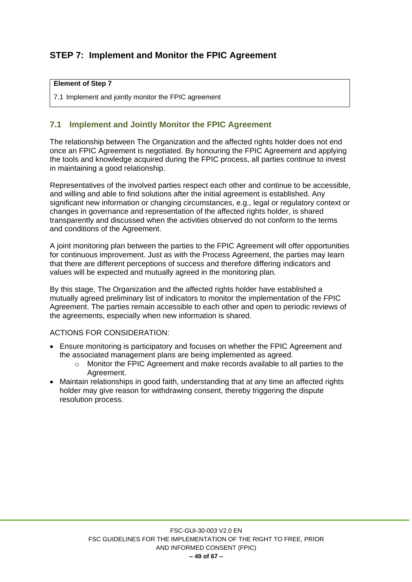# <span id="page-48-0"></span>**STEP 7: Implement and Monitor the FPIC Agreement**

#### **Element of Step 7**

7.1 Implement and jointly monitor the FPIC agreement

## <span id="page-48-1"></span>**7.1 Implement and Jointly Monitor the FPIC Agreement**

The relationship between The Organization and the affected rights holder does not end once an FPIC Agreement is negotiated. By honouring the FPIC Agreement and applying the tools and knowledge acquired during the FPIC process, all parties continue to invest in maintaining a good relationship.

Representatives of the involved parties respect each other and continue to be accessible, and willing and able to find solutions after the initial agreement is established. Any significant new information or changing circumstances, e.g., legal or regulatory context or changes in governance and representation of the affected rights holder, is shared transparently and discussed when the activities observed do not conform to the terms and conditions of the Agreement.

A joint monitoring plan between the parties to the FPIC Agreement will offer opportunities for continuous improvement. Just as with the Process Agreement, the parties may learn that there are different perceptions of success and therefore differing indicators and values will be expected and mutually agreed in the monitoring plan.

By this stage, The Organization and the affected rights holder have established a mutually agreed preliminary list of indicators to monitor the implementation of the FPIC Agreement. The parties remain accessible to each other and open to periodic reviews of the agreements, especially when new information is shared.

- Ensure monitoring is participatory and focuses on whether the FPIC Agreement and the associated management plans are being implemented as agreed.
	- o Monitor the FPIC Agreement and make records available to all parties to the Agreement.
- Maintain relationships in good faith, understanding that at any time an affected rights holder may give reason for withdrawing consent, thereby triggering the dispute resolution process.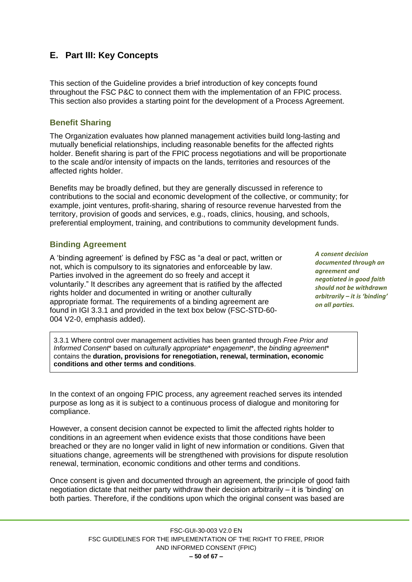# <span id="page-49-0"></span>**E. Part III: Key Concepts**

This section of the Guideline provides a brief introduction of key concepts found throughout the FSC P&C to connect them with the implementation of an FPIC process. This section also provides a starting point for the development of a Process Agreement.

#### <span id="page-49-1"></span>**Benefit Sharing**

The Organization evaluates how planned management activities build long-lasting and mutually beneficial relationships, including reasonable benefits for the affected rights holder. Benefit sharing is part of the FPIC process negotiations and will be proportionate to the scale and/or intensity of impacts on the lands, territories and resources of the affected rights holder.

Benefits may be broadly defined, but they are generally discussed in reference to contributions to the social and economic development of the collective, or community; for example, joint ventures, profit-sharing, sharing of resource revenue harvested from the territory, provision of goods and services, e.g., roads, clinics, housing, and schools, preferential employment, training, and contributions to community development funds.

#### <span id="page-49-2"></span>**Binding Agreement**

A 'binding agreement' is defined by FSC as "a deal or pact, written or not, which is compulsory to its signatories and enforceable by law. Parties involved in the agreement do so freely and accept it voluntarily." It describes any agreement that is ratified by the affected rights holder and documented in writing or another culturally appropriate format. The requirements of a binding agreement are found in IGI 3.3.1 and provided in the text box below (FSC-STD-60- 004 V2-0, emphasis added).

*A consent decision documented through an agreement and negotiated in good faith should not be withdrawn arbitrarily – it is 'binding' on all parties.*

3.3.1 Where control over management activities has been granted through *Free Prior and Informed Consent*\* based on *culturally appropriate*\* *engagement*\*, the *binding agreement*\* contains the **duration, provisions for renegotiation, renewal, termination, economic conditions and other terms and conditions**.

In the context of an ongoing FPIC process, any agreement reached serves its intended purpose as long as it is subject to a continuous process of dialogue and monitoring for compliance.

However, a consent decision cannot be expected to limit the affected rights holder to conditions in an agreement when evidence exists that those conditions have been breached or they are no longer valid in light of new information or conditions. Given that situations change, agreements will be strengthened with provisions for dispute resolution renewal, termination, economic conditions and other terms and conditions.

Once consent is given and documented through an agreement, the principle of good faith negotiation dictate that neither party withdraw their decision arbitrarily – it is 'binding' on both parties. Therefore, if the conditions upon which the original consent was based are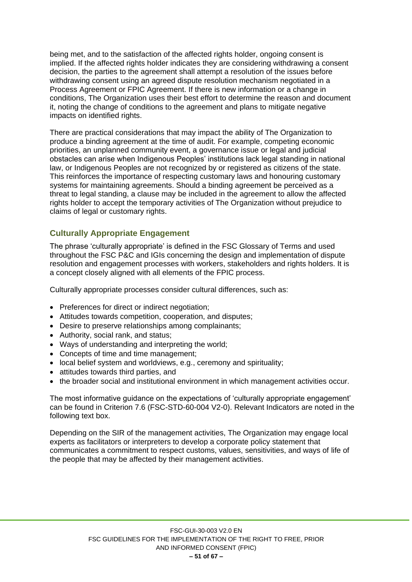being met, and to the satisfaction of the affected rights holder, ongoing consent is implied. If the affected rights holder indicates they are considering withdrawing a consent decision, the parties to the agreement shall attempt a resolution of the issues before withdrawing consent using an agreed dispute resolution mechanism negotiated in a Process Agreement or FPIC Agreement. If there is new information or a change in conditions, The Organization uses their best effort to determine the reason and document it, noting the change of conditions to the agreement and plans to mitigate negative impacts on identified rights.

There are practical considerations that may impact the ability of The Organization to produce a binding agreement at the time of audit. For example, competing economic priorities, an unplanned community event, a governance issue or legal and judicial obstacles can arise when Indigenous Peoples' institutions lack legal standing in national law, or Indigenous Peoples are not recognized by or registered as citizens of the state. This reinforces the importance of respecting customary laws and honouring customary systems for maintaining agreements. Should a binding agreement be perceived as a threat to legal standing, a clause may be included in the agreement to allow the affected rights holder to accept the temporary activities of The Organization without prejudice to claims of legal or customary rights.

#### <span id="page-50-0"></span>**Culturally Appropriate Engagement**

The phrase 'culturally appropriate' is defined in the FSC Glossary of Terms and used throughout the FSC P&C and IGIs concerning the design and implementation of dispute resolution and engagement processes with workers, stakeholders and rights holders. It is a concept closely aligned with all elements of the FPIC process.

Culturally appropriate processes consider cultural differences, such as:

- Preferences for direct or indirect negotiation;
- Attitudes towards competition, cooperation, and disputes;
- Desire to preserve relationships among complainants;
- Authority, social rank, and status;
- Ways of understanding and interpreting the world;
- Concepts of time and time management;
- local belief system and worldviews, e.g., ceremony and spirituality;
- attitudes towards third parties, and
- the broader social and institutional environment in which management activities occur.

The most informative guidance on the expectations of 'culturally appropriate engagement' can be found in Criterion 7.6 (FSC-STD-60-004 V2-0). Relevant Indicators are noted in the following text box.

Depending on the SIR of the management activities, The Organization may engage local experts as facilitators or interpreters to develop a corporate policy statement that communicates a commitment to respect customs, values, sensitivities, and ways of life of the people that may be affected by their management activities.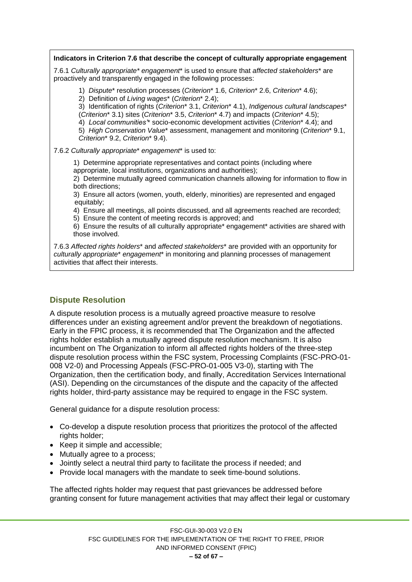**Indicators in Criterion 7.6 that describe the concept of culturally appropriate engagement**

7.6.1 *Culturally appropriate\* engagement*\* is used to ensure that *affected stakeholders*\* are proactively and transparently engaged in the following processes:

1) *Dispute*\* resolution processes (*Criterion*\* 1.6, *Criterion*\* 2.6, *Criterion*\* 4.6);

2) Definition of *Living wages*\* (*Criterion*\* 2.4);

3) Identification of rights (*Criterion*\* 3.1, *Criterion*\* 4.1), *Indigenous cultural landscapes*\* (*Criterion*\* 3.1) sites (*Criterion*\* 3.5, *Criterion*\* 4.7) and impacts (*Criterion*\* 4.5);

4) *Local communities'*\* socio-economic development activities (*Criterion*\* 4.4); and

5) *High Conservation Value*\* assessment, management and monitoring (*Criterion*\* 9.1, *Criterion*\* 9.2, *Criterion*\* 9.4).

7.6.2 *Culturally appropriate*\* *engagement*\* is used to:

1) Determine appropriate representatives and contact points (including where appropriate, local institutions, organizations and authorities);

2) Determine mutually agreed communication channels allowing for information to flow in both directions;

3) Ensure all actors (women, youth, elderly, minorities) are represented and engaged equitably;

4) Ensure all meetings, all points discussed, and all agreements reached are recorded;

5) Ensure the content of meeting records is approved; and

6) Ensure the results of all culturally appropriate\* engagement\* activities are shared with those involved.

7.6.3 *Affected rights holders*\* and *affected stakeholders*\* are provided with an opportunity for *culturally appropriate*\* *engagement*\* in monitoring and planning processes of management activities that affect their interests.

## <span id="page-51-0"></span>**Dispute Resolution**

A dispute resolution process is a mutually agreed proactive measure to resolve differences under an existing agreement and/or prevent the breakdown of negotiations. Early in the FPIC process, it is recommended that The Organization and the affected rights holder establish a mutually agreed dispute resolution mechanism. It is also incumbent on The Organization to inform all affected rights holders of the three-step dispute resolution process within the FSC system, Processing Complaints (FSC-PRO-01- 008 V2-0) and Processing Appeals (FSC-PRO-01-005 V3-0), starting with The Organization, then the certification body, and finally, Accreditation Services International (ASI). Depending on the circumstances of the dispute and the capacity of the affected rights holder, third-party assistance may be required to engage in the FSC system.

General guidance for a dispute resolution process:

- Co-develop a dispute resolution process that prioritizes the protocol of the affected rights holder;
- Keep it simple and accessible;
- Mutually agree to a process;
- Jointly select a neutral third party to facilitate the process if needed; and
- Provide local managers with the mandate to seek time-bound solutions.

The affected rights holder may request that past grievances be addressed before granting consent for future management activities that may affect their legal or customary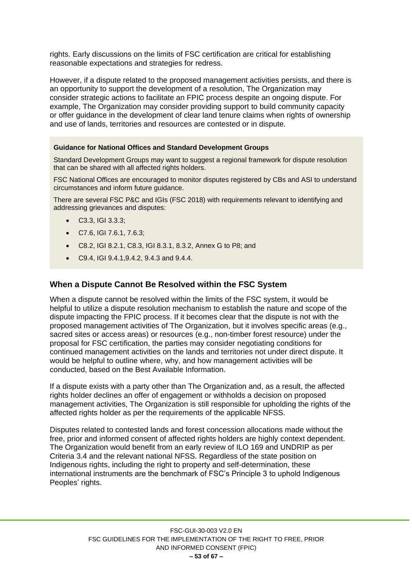rights. Early discussions on the limits of FSC certification are critical for establishing reasonable expectations and strategies for redress.

However, if a dispute related to the proposed management activities persists, and there is an opportunity to support the development of a resolution, The Organization may consider strategic actions to facilitate an FPIC process despite an ongoing dispute. For example, The Organization may consider providing support to build community capacity or offer guidance in the development of clear land tenure claims when rights of ownership and use of lands, territories and resources are contested or in dispute.

#### **Guidance for National Offices and Standard Development Groups**

Standard Development Groups may want to suggest a regional framework for dispute resolution that can be shared with all affected rights holders.

FSC National Offices are encouraged to monitor disputes registered by CBs and ASI to understand circumstances and inform future guidance.

There are several FSC P&C and IGIs (FSC 2018) with requirements relevant to identifying and addressing grievances and disputes:

- C3.3, IGI 3.3.3;
- C7.6, IGI 7.6.1, 7.6.3;
- C8.2, IGI 8.2.1, C8.3, IGI 8.3.1, 8.3.2, Annex G to P8; and
- C9.4, IGI 9.4.1,9.4.2, 9.4.3 and 9.4.4.

#### <span id="page-52-0"></span>**When a Dispute Cannot Be Resolved within the FSC System**

When a dispute cannot be resolved within the limits of the FSC system, it would be helpful to utilize a dispute resolution mechanism to establish the nature and scope of the dispute impacting the FPIC process. If it becomes clear that the dispute is not with the proposed management activities of The Organization, but it involves specific areas (e.g., sacred sites or access areas) or resources (e.g., non-timber forest resource) under the proposal for FSC certification, the parties may consider negotiating conditions for continued management activities on the lands and territories not under direct dispute. It would be helpful to outline where, why, and how management activities will be conducted, based on the Best Available Information.

If a dispute exists with a party other than The Organization and, as a result, the affected rights holder declines an offer of engagement or withholds a decision on proposed management activities, The Organization is still responsible for upholding the rights of the affected rights holder as per the requirements of the applicable NFSS.

Disputes related to contested lands and forest concession allocations made without the free, prior and informed consent of affected rights holders are highly context dependent. The Organization would benefit from an early review of ILO 169 and UNDRIP as per Criteria 3.4 and the relevant national NFSS. Regardless of the state position on Indigenous rights, including the right to property and self-determination, these international instruments are the benchmark of FSC's Principle 3 to uphold Indigenous Peoples' rights.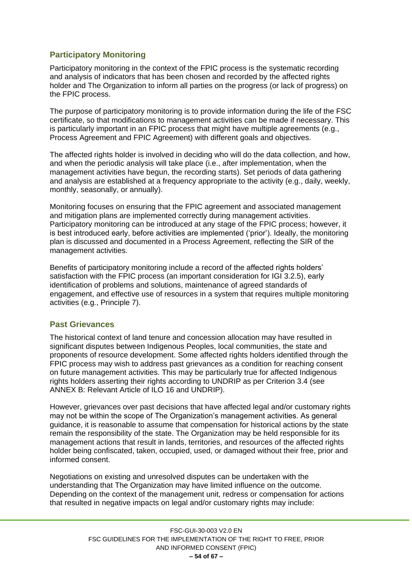## <span id="page-53-0"></span>**Participatory Monitoring**

Participatory monitoring in the context of the FPIC process is the systematic recording and analysis of indicators that has been chosen and recorded by the affected rights holder and The Organization to inform all parties on the progress (or lack of progress) on the FPIC process.

The purpose of participatory monitoring is to provide information during the life of the FSC certificate, so that modifications to management activities can be made if necessary. This is particularly important in an FPIC process that might have multiple agreements (e.g., Process Agreement and FPIC Agreement) with different goals and objectives.

The affected rights holder is involved in deciding who will do the data collection, and how, and when the periodic analysis will take place (i.e., after implementation, when the management activities have begun, the recording starts). Set periods of data gathering and analysis are established at a frequency appropriate to the activity (e.g., daily, weekly, monthly, seasonally, or annually).

Monitoring focuses on ensuring that the FPIC agreement and associated management and mitigation plans are implemented correctly during management activities. Participatory monitoring can be introduced at any stage of the FPIC process; however, it is best introduced early, before activities are implemented ('prior'). Ideally, the monitoring plan is discussed and documented in a Process Agreement, reflecting the SIR of the management activities.

Benefits of participatory monitoring include a record of the affected rights holders' satisfaction with the FPIC process (an important consideration for IGI 3.2.5), early identification of problems and solutions, maintenance of agreed standards of engagement, and effective use of resources in a system that requires multiple monitoring activities (e.g., Principle 7).

## <span id="page-53-1"></span>**Past Grievances**

The historical context of land tenure and concession allocation may have resulted in significant disputes between Indigenous Peoples, local communities, the state and proponents of resource development. Some affected rights holders identified through the FPIC process may wish to address past grievances as a condition for reaching consent on future management activities. This may be particularly true for affected Indigenous rights holders asserting their rights according to UNDRIP as per Criterion 3.4 (see ANNEX B: Relevant Article of ILO 16 and UNDRIP).

However, grievances over past decisions that have affected legal and/or customary rights may not be within the scope of The Organization's management activities. As general guidance, it is reasonable to assume that compensation for historical actions by the state remain the responsibility of the state. The Organization may be held responsible for its management actions that result in lands, territories, and resources of the affected rights holder being confiscated, taken, occupied, used, or damaged without their free, prior and informed consent.

Negotiations on existing and unresolved disputes can be undertaken with the understanding that The Organization may have limited influence on the outcome. Depending on the context of the management unit, redress or compensation for actions that resulted in negative impacts on legal and/or customary rights may include: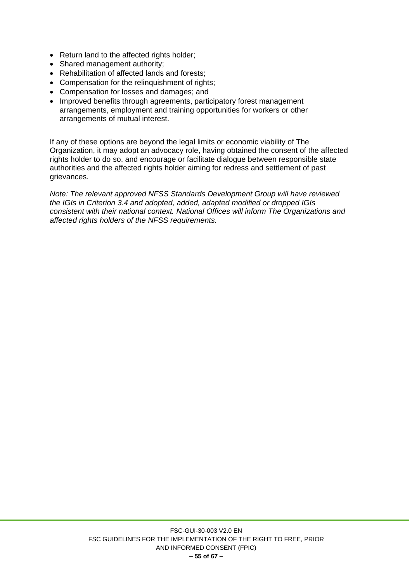- Return land to the affected rights holder;
- Shared management authority;
- Rehabilitation of affected lands and forests;
- Compensation for the relinquishment of rights:
- Compensation for losses and damages; and
- Improved benefits through agreements, participatory forest management arrangements, employment and training opportunities for workers or other arrangements of mutual interest.

If any of these options are beyond the legal limits or economic viability of The Organization, it may adopt an advocacy role, having obtained the consent of the affected rights holder to do so, and encourage or facilitate dialogue between responsible state authorities and the affected rights holder aiming for redress and settlement of past grievances.

*Note: The relevant approved NFSS Standards Development Group will have reviewed the IGIs in Criterion 3.4 and adopted, added, adapted modified or dropped IGIs consistent with their national context. National Offices will inform The Organizations and affected rights holders of the NFSS requirements.*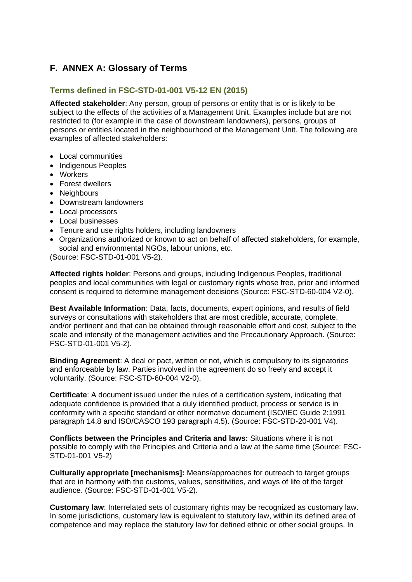# <span id="page-55-0"></span>**F. ANNEX A: Glossary of Terms**

#### <span id="page-55-1"></span>**Terms defined in FSC-STD-01-001 V5-12 EN (2015)**

**Affected stakeholder**: Any person, group of persons or entity that is or is likely to be subject to the effects of the activities of a Management Unit. Examples include but are not restricted to (for example in the case of downstream landowners), persons, groups of persons or entities located in the neighbourhood of the Management Unit. The following are examples of affected stakeholders:

- Local communities
- Indigenous Peoples
- Workers
- Forest dwellers
- Neighbours
- Downstream landowners
- Local processors
- Local businesses
- Tenure and use rights holders, including landowners
- Organizations authorized or known to act on behalf of affected stakeholders, for example, social and environmental NGOs, labour unions, etc.

(Source: FSC-STD-01-001 V5-2).

**Affected rights holder**: Persons and groups, including Indigenous Peoples, traditional peoples and local communities with legal or customary rights whose free, prior and informed consent is required to determine management decisions (Source: FSC-STD-60-004 V2-0).

**Best Available Information**: Data, facts, documents, expert opinions, and results of field surveys or consultations with stakeholders that are most credible, accurate, complete, and/or pertinent and that can be obtained through reasonable effort and cost, subject to the scale and intensity of the management activities and the Precautionary Approach. (Source: FSC-STD-01-001 V5-2).

**Binding Agreement**: A deal or pact, written or not, which is compulsory to its signatories and enforceable by law. Parties involved in the agreement do so freely and accept it voluntarily. (Source: FSC-STD-60-004 V2-0).

**Certificate**: A document issued under the rules of a certification system, indicating that adequate confidence is provided that a duly identified product, process or service is in conformity with a specific standard or other normative document (ISO/IEC Guide 2:1991 paragraph 14.8 and ISO/CASCO 193 paragraph 4.5). (Source: FSC-STD-20-001 V4).

**Conflicts between the Principles and Criteria and laws:** Situations where it is not possible to comply with the Principles and Criteria and a law at the same time (Source: FSC-STD-01-001 V5-2)

**Culturally appropriate [mechanisms]:** Means/approaches for outreach to target groups that are in harmony with the customs, values, sensitivities, and ways of life of the target audience. (Source: FSC-STD-01-001 V5-2).

**Customary law**: Interrelated sets of customary rights may be recognized as customary law. In some jurisdictions, customary law is equivalent to statutory law, within its defined area of competence and may replace the statutory law for defined ethnic or other social groups. In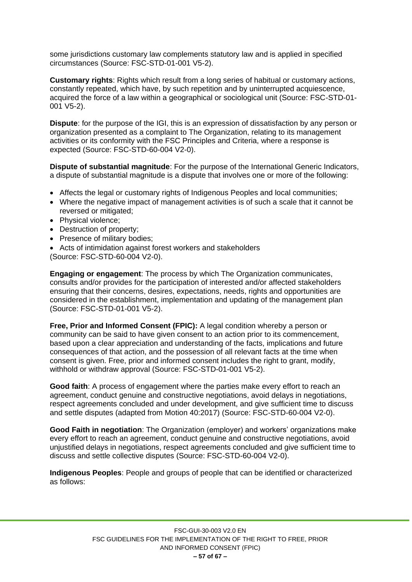some jurisdictions customary law complements statutory law and is applied in specified circumstances (Source: FSC-STD-01-001 V5-2).

**Customary rights**: Rights which result from a long series of habitual or customary actions, constantly repeated, which have, by such repetition and by uninterrupted acquiescence, acquired the force of a law within a geographical or sociological unit (Source: FSC-STD-01- 001 V5-2).

**Dispute**: for the purpose of the IGI, this is an expression of dissatisfaction by any person or organization presented as a complaint to The Organization, relating to its management activities or its conformity with the FSC Principles and Criteria, where a response is expected (Source: FSC-STD-60-004 V2-0).

**Dispute of substantial magnitude**: For the purpose of the International Generic Indicators, a dispute of substantial magnitude is a dispute that involves one or more of the following:

- Affects the legal or customary rights of Indigenous Peoples and local communities;
- Where the negative impact of management activities is of such a scale that it cannot be reversed or mitigated;
- Physical violence;
- Destruction of property;
- Presence of military bodies:
- Acts of intimidation against forest workers and stakeholders (Source: FSC-STD-60-004 V2-0).

**Engaging or engagement**: The process by which The Organization communicates, consults and/or provides for the participation of interested and/or affected stakeholders ensuring that their concerns, desires, expectations, needs, rights and opportunities are considered in the establishment, implementation and updating of the management plan (Source: FSC-STD-01-001 V5-2).

**Free, Prior and Informed Consent (FPIC):** A legal condition whereby a person or community can be said to have given consent to an action prior to its commencement, based upon a clear appreciation and understanding of the facts, implications and future consequences of that action, and the possession of all relevant facts at the time when consent is given. Free, prior and informed consent includes the right to grant, modify, withhold or withdraw approval (Source: FSC-STD-01-001 V5-2).

**Good faith**: A process of engagement where the parties make every effort to reach an agreement, conduct genuine and constructive negotiations, avoid delays in negotiations, respect agreements concluded and under development, and give sufficient time to discuss and settle disputes (adapted from Motion 40:2017) (Source: FSC-STD-60-004 V2-0).

**Good Faith in negotiation**: The Organization (employer) and workers' organizations make every effort to reach an agreement, conduct genuine and constructive negotiations, avoid unjustified delays in negotiations, respect agreements concluded and give sufficient time to discuss and settle collective disputes (Source: FSC-STD-60-004 V2-0).

**Indigenous Peoples**: People and groups of people that can be identified or characterized as follows: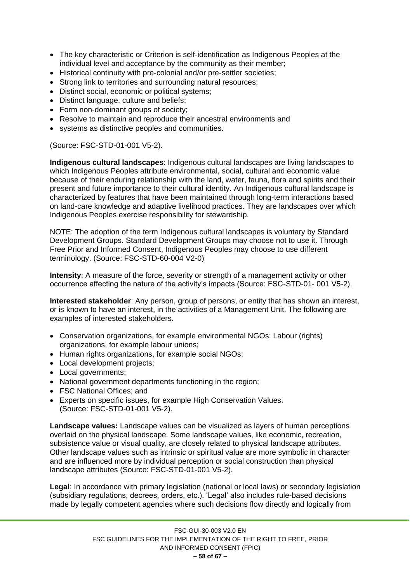- The key characteristic or Criterion is self-identification as Indigenous Peoples at the individual level and acceptance by the community as their member;
- Historical continuity with pre-colonial and/or pre-settler societies;
- Strong link to territories and surrounding natural resources:
- Distinct social, economic or political systems;
- Distinct language, culture and beliefs;
- Form non-dominant groups of society;
- Resolve to maintain and reproduce their ancestral environments and
- systems as distinctive peoples and communities.

(Source: FSC-STD-01-001 V5-2).

**Indigenous cultural landscapes**: Indigenous cultural landscapes are living landscapes to which Indigenous Peoples attribute environmental, social, cultural and economic value because of their enduring relationship with the land, water, fauna, flora and spirits and their present and future importance to their cultural identity. An Indigenous cultural landscape is characterized by features that have been maintained through long-term interactions based on land-care knowledge and adaptive livelihood practices. They are landscapes over which Indigenous Peoples exercise responsibility for stewardship.

NOTE: The adoption of the term Indigenous cultural landscapes is voluntary by Standard Development Groups. Standard Development Groups may choose not to use it. Through Free Prior and Informed Consent, Indigenous Peoples may choose to use different terminology. (Source: FSC-STD-60-004 V2-0)

**Intensity**: A measure of the force, severity or strength of a management activity or other occurrence affecting the nature of the activity's impacts (Source: FSC-STD-01- 001 V5-2).

**Interested stakeholder**: Any person, group of persons, or entity that has shown an interest, or is known to have an interest, in the activities of a Management Unit. The following are examples of interested stakeholders.

- Conservation organizations, for example environmental NGOs; Labour (rights) organizations, for example labour unions;
- Human rights organizations, for example social NGOs;
- Local development projects;
- Local governments;
- National government departments functioning in the region;
- FSC National Offices; and
- Experts on specific issues, for example High Conservation Values. (Source: FSC-STD-01-001 V5-2).

**Landscape values:** Landscape values can be visualized as layers of human perceptions overlaid on the physical landscape. Some landscape values, like economic, recreation, subsistence value or visual quality, are closely related to physical landscape attributes. Other landscape values such as intrinsic or spiritual value are more symbolic in character and are influenced more by individual perception or social construction than physical landscape attributes (Source: FSC-STD-01-001 V5-2).

**Legal**: In accordance with primary legislation (national or local laws) or secondary legislation (subsidiary regulations, decrees, orders, etc.). 'Legal' also includes rule-based decisions made by legally competent agencies where such decisions flow directly and logically from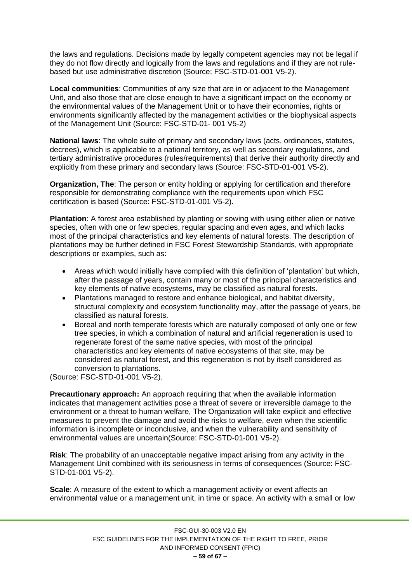the laws and regulations. Decisions made by legally competent agencies may not be legal if they do not flow directly and logically from the laws and regulations and if they are not rulebased but use administrative discretion (Source: FSC-STD-01-001 V5-2).

**Local communities**: Communities of any size that are in or adjacent to the Management Unit, and also those that are close enough to have a significant impact on the economy or the environmental values of the Management Unit or to have their economies, rights or environments significantly affected by the management activities or the biophysical aspects of the Management Unit (Source: FSC-STD-01- 001 V5-2)

**National laws**: The whole suite of primary and secondary laws (acts, ordinances, statutes, decrees), which is applicable to a national territory, as well as secondary regulations, and tertiary administrative procedures (rules/requirements) that derive their authority directly and explicitly from these primary and secondary laws (Source: FSC-STD-01-001 V5-2).

**Organization, The**: The person or entity holding or applying for certification and therefore responsible for demonstrating compliance with the requirements upon which FSC certification is based (Source: FSC-STD-01-001 V5-2).

**Plantation**: A forest area established by planting or sowing with using either alien or native species, often with one or few species, regular spacing and even ages, and which lacks most of the principal characteristics and key elements of natural forests. The description of plantations may be further defined in FSC Forest Stewardship Standards, with appropriate descriptions or examples, such as:

- Areas which would initially have complied with this definition of 'plantation' but which, after the passage of years, contain many or most of the principal characteristics and key elements of native ecosystems, may be classified as natural forests.
- Plantations managed to restore and enhance biological, and habitat diversity, structural complexity and ecosystem functionality may, after the passage of years, be classified as natural forests.
- Boreal and north temperate forests which are naturally composed of only one or few tree species, in which a combination of natural and artificial regeneration is used to regenerate forest of the same native species, with most of the principal characteristics and key elements of native ecosystems of that site, may be considered as natural forest, and this regeneration is not by itself considered as conversion to plantations.

(Source: FSC-STD-01-001 V5-2).

**Precautionary approach:** An approach requiring that when the available information indicates that management activities pose a threat of severe or irreversible damage to the environment or a threat to human welfare, The Organization will take explicit and effective measures to prevent the damage and avoid the risks to welfare, even when the scientific information is incomplete or inconclusive, and when the vulnerability and sensitivity of environmental values are uncertain(Source: FSC-STD-01-001 V5-2).

**Risk**: The probability of an unacceptable negative impact arising from any activity in the Management Unit combined with its seriousness in terms of consequences (Source: FSC-STD-01-001 V5-2).

**Scale**: A measure of the extent to which a management activity or event affects an environmental value or a management unit, in time or space. An activity with a small or low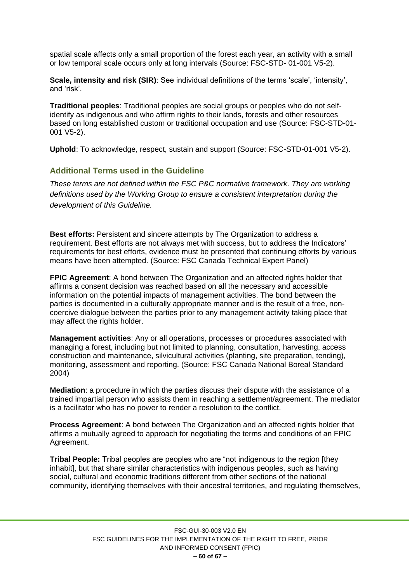spatial scale affects only a small proportion of the forest each year, an activity with a small or low temporal scale occurs only at long intervals (Source: FSC-STD- 01-001 V5-2).

**Scale, intensity and risk (SIR)**: See individual definitions of the terms 'scale', 'intensity', and 'risk'.

**Traditional peoples**: Traditional peoples are social groups or peoples who do not selfidentify as indigenous and who affirm rights to their lands, forests and other resources based on long established custom or traditional occupation and use (Source: FSC-STD-01- 001 V5-2).

**Uphold**: To acknowledge, respect, sustain and support (Source: FSC-STD-01-001 V5-2).

#### <span id="page-59-0"></span>**Additional Terms used in the Guideline**

*These terms are not defined within the FSC P&C normative framework. They are working definitions used by the Working Group to ensure a consistent interpretation during the development of this Guideline.*

**Best efforts:** Persistent and sincere attempts by The Organization to address a requirement. Best efforts are not always met with success, but to address the Indicators' requirements for best efforts, evidence must be presented that continuing efforts by various means have been attempted. (Source: FSC Canada Technical Expert Panel)

**FPIC Agreement:** A bond between The Organization and an affected rights holder that affirms a consent decision was reached based on all the necessary and accessible information on the potential impacts of management activities. The bond between the parties is documented in a culturally appropriate manner and is the result of a free, noncoercive dialogue between the parties prior to any management activity taking place that may affect the rights holder.

**Management activities**: Any or all operations, processes or procedures associated with managing a forest, including but not limited to planning, consultation, harvesting, access construction and maintenance, silvicultural activities (planting, site preparation, tending), monitoring, assessment and reporting. (Source: FSC Canada National Boreal Standard 2004)

**Mediation**: a procedure in which the parties discuss their dispute with the assistance of a trained impartial person who assists them in reaching a settlement/agreement. The mediator is a facilitator who has no power to render a resolution to the conflict.

**Process Agreement**: A bond between The Organization and an affected rights holder that affirms a mutually agreed to approach for negotiating the terms and conditions of an FPIC Agreement.

**Tribal People:** Tribal peoples are peoples who are "not indigenous to the region [they inhabit], but that share similar characteristics with indigenous peoples, such as having social, cultural and economic traditions different from other sections of the national community, identifying themselves with their ancestral territories, and regulating themselves,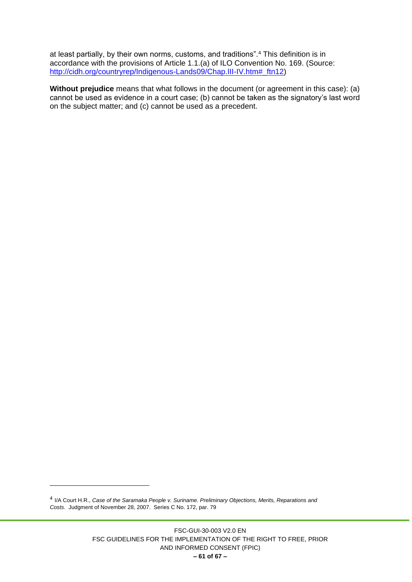at least partially, by their own norms, customs, and traditions".<sup>4</sup> This definition is in accordance with the provisions of Article 1.1.(a) of ILO Convention No. 169. (Source: [http://cidh.org/countryrep/Indigenous-Lands09/Chap.III-IV.htm#\\_ftn12\)](http://cidh.org/countryrep/Indigenous-Lands09/Chap.III-IV.htm#_ftn12)

**Without prejudice** means that what follows in the document (or agreement in this case): (a) cannot be used as evidence in a court case; (b) cannot be taken as the signatory's last word on the subject matter; and (c) cannot be used as a precedent.

<sup>4</sup> I/A Court H.R., *Case of the Saramaka People v. Suriname. Preliminary Objections, Merits, Reparations and Costs*. Judgment of November 28, 2007. Series C No. 172, par. 79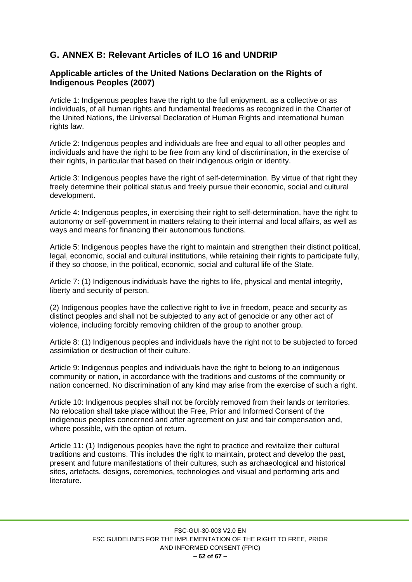# <span id="page-61-0"></span>**G. ANNEX B: Relevant Articles of ILO 16 and UNDRIP**

#### **Applicable articles of the United Nations Declaration on the Rights of Indigenous Peoples (2007)**

Article 1: Indigenous peoples have the right to the full enjoyment, as a collective or as individuals, of all human rights and fundamental freedoms as recognized in the Charter of the United Nations, the Universal Declaration of Human Rights and international human rights law.

Article 2: Indigenous peoples and individuals are free and equal to all other peoples and individuals and have the right to be free from any kind of discrimination, in the exercise of their rights, in particular that based on their indigenous origin or identity.

Article 3: Indigenous peoples have the right of self-determination. By virtue of that right they freely determine their political status and freely pursue their economic, social and cultural development.

Article 4: Indigenous peoples, in exercising their right to self-determination, have the right to autonomy or self-government in matters relating to their internal and local affairs, as well as ways and means for financing their autonomous functions.

Article 5: Indigenous peoples have the right to maintain and strengthen their distinct political, legal, economic, social and cultural institutions, while retaining their rights to participate fully, if they so choose, in the political, economic, social and cultural life of the State.

Article 7: (1) Indigenous individuals have the rights to life, physical and mental integrity, liberty and security of person.

(2) Indigenous peoples have the collective right to live in freedom, peace and security as distinct peoples and shall not be subjected to any act of genocide or any other act of violence, including forcibly removing children of the group to another group.

Article 8: (1) Indigenous peoples and individuals have the right not to be subjected to forced assimilation or destruction of their culture.

Article 9: Indigenous peoples and individuals have the right to belong to an indigenous community or nation, in accordance with the traditions and customs of the community or nation concerned. No discrimination of any kind may arise from the exercise of such a right.

Article 10: Indigenous peoples shall not be forcibly removed from their lands or territories. No relocation shall take place without the Free, Prior and Informed Consent of the indigenous peoples concerned and after agreement on just and fair compensation and, where possible, with the option of return.

Article 11: (1) Indigenous peoples have the right to practice and revitalize their cultural traditions and customs. This includes the right to maintain, protect and develop the past, present and future manifestations of their cultures, such as archaeological and historical sites, artefacts, designs, ceremonies, technologies and visual and performing arts and literature.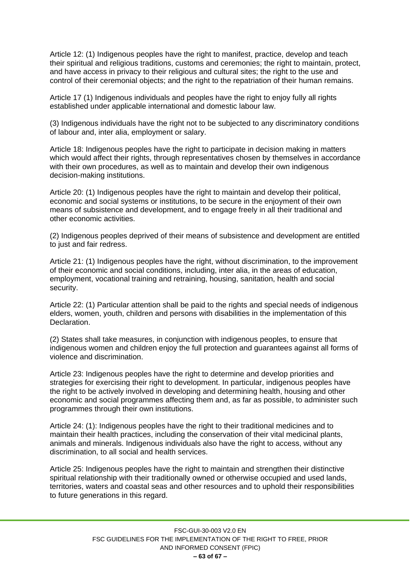Article 12: (1) Indigenous peoples have the right to manifest, practice, develop and teach their spiritual and religious traditions, customs and ceremonies; the right to maintain, protect, and have access in privacy to their religious and cultural sites; the right to the use and control of their ceremonial objects; and the right to the repatriation of their human remains.

Article 17 (1) Indigenous individuals and peoples have the right to enjoy fully all rights established under applicable international and domestic labour law.

(3) Indigenous individuals have the right not to be subjected to any discriminatory conditions of labour and, inter alia, employment or salary.

Article 18: Indigenous peoples have the right to participate in decision making in matters which would affect their rights, through representatives chosen by themselves in accordance with their own procedures, as well as to maintain and develop their own indigenous decision-making institutions.

Article 20: (1) Indigenous peoples have the right to maintain and develop their political, economic and social systems or institutions, to be secure in the enjoyment of their own means of subsistence and development, and to engage freely in all their traditional and other economic activities.

(2) Indigenous peoples deprived of their means of subsistence and development are entitled to just and fair redress.

Article 21: (1) Indigenous peoples have the right, without discrimination, to the improvement of their economic and social conditions, including, inter alia, in the areas of education, employment, vocational training and retraining, housing, sanitation, health and social security.

Article 22: (1) Particular attention shall be paid to the rights and special needs of indigenous elders, women, youth, children and persons with disabilities in the implementation of this Declaration.

(2) States shall take measures, in conjunction with indigenous peoples, to ensure that indigenous women and children enjoy the full protection and guarantees against all forms of violence and discrimination.

Article 23: Indigenous peoples have the right to determine and develop priorities and strategies for exercising their right to development. In particular, indigenous peoples have the right to be actively involved in developing and determining health, housing and other economic and social programmes affecting them and, as far as possible, to administer such programmes through their own institutions.

Article 24: (1): Indigenous peoples have the right to their traditional medicines and to maintain their health practices, including the conservation of their vital medicinal plants, animals and minerals. Indigenous individuals also have the right to access, without any discrimination, to all social and health services.

Article 25: Indigenous peoples have the right to maintain and strengthen their distinctive spiritual relationship with their traditionally owned or otherwise occupied and used lands, territories, waters and coastal seas and other resources and to uphold their responsibilities to future generations in this regard.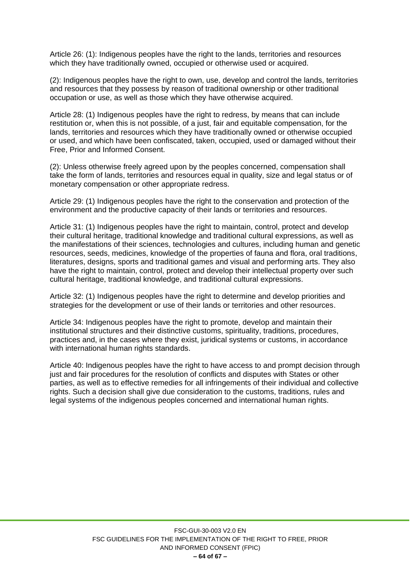Article 26: (1): Indigenous peoples have the right to the lands, territories and resources which they have traditionally owned, occupied or otherwise used or acquired.

(2): Indigenous peoples have the right to own, use, develop and control the lands, territories and resources that they possess by reason of traditional ownership or other traditional occupation or use, as well as those which they have otherwise acquired.

Article 28: (1) Indigenous peoples have the right to redress, by means that can include restitution or, when this is not possible, of a just, fair and equitable compensation, for the lands, territories and resources which they have traditionally owned or otherwise occupied or used, and which have been confiscated, taken, occupied, used or damaged without their Free, Prior and Informed Consent.

(2): Unless otherwise freely agreed upon by the peoples concerned, compensation shall take the form of lands, territories and resources equal in quality, size and legal status or of monetary compensation or other appropriate redress.

Article 29: (1) Indigenous peoples have the right to the conservation and protection of the environment and the productive capacity of their lands or territories and resources.

Article 31: (1) Indigenous peoples have the right to maintain, control, protect and develop their cultural heritage, traditional knowledge and traditional cultural expressions, as well as the manifestations of their sciences, technologies and cultures, including human and genetic resources, seeds, medicines, knowledge of the properties of fauna and flora, oral traditions, literatures, designs, sports and traditional games and visual and performing arts. They also have the right to maintain, control, protect and develop their intellectual property over such cultural heritage, traditional knowledge, and traditional cultural expressions.

Article 32: (1) Indigenous peoples have the right to determine and develop priorities and strategies for the development or use of their lands or territories and other resources.

Article 34: Indigenous peoples have the right to promote, develop and maintain their institutional structures and their distinctive customs, spirituality, traditions, procedures, practices and, in the cases where they exist, juridical systems or customs, in accordance with international human rights standards.

Article 40: Indigenous peoples have the right to have access to and prompt decision through just and fair procedures for the resolution of conflicts and disputes with States or other parties, as well as to effective remedies for all infringements of their individual and collective rights. Such a decision shall give due consideration to the customs, traditions, rules and legal systems of the indigenous peoples concerned and international human rights.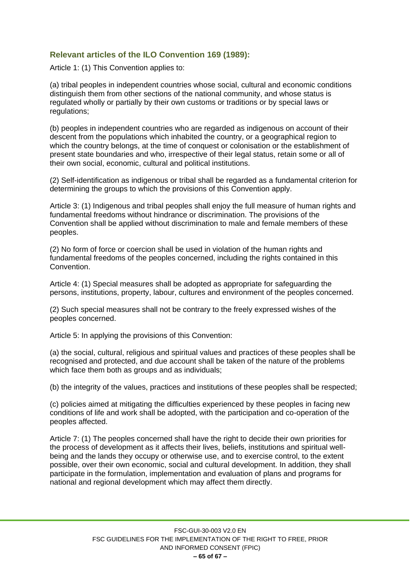## <span id="page-64-0"></span>**Relevant articles of the ILO Convention 169 (1989):**

Article 1: (1) This Convention applies to:

(a) tribal peoples in independent countries whose social, cultural and economic conditions distinguish them from other sections of the national community, and whose status is regulated wholly or partially by their own customs or traditions or by special laws or regulations;

(b) peoples in independent countries who are regarded as indigenous on account of their descent from the populations which inhabited the country, or a geographical region to which the country belongs, at the time of conquest or colonisation or the establishment of present state boundaries and who, irrespective of their legal status, retain some or all of their own social, economic, cultural and political institutions.

(2) Self-identification as indigenous or tribal shall be regarded as a fundamental criterion for determining the groups to which the provisions of this Convention apply.

Article 3: (1) Indigenous and tribal peoples shall enjoy the full measure of human rights and fundamental freedoms without hindrance or discrimination. The provisions of the Convention shall be applied without discrimination to male and female members of these peoples.

(2) No form of force or coercion shall be used in violation of the human rights and fundamental freedoms of the peoples concerned, including the rights contained in this Convention.

Article 4: (1) Special measures shall be adopted as appropriate for safeguarding the persons, institutions, property, labour, cultures and environment of the peoples concerned.

(2) Such special measures shall not be contrary to the freely expressed wishes of the peoples concerned.

Article 5: In applying the provisions of this Convention:

(a) the social, cultural, religious and spiritual values and practices of these peoples shall be recognised and protected, and due account shall be taken of the nature of the problems which face them both as groups and as individuals;

(b) the integrity of the values, practices and institutions of these peoples shall be respected;

(c) policies aimed at mitigating the difficulties experienced by these peoples in facing new conditions of life and work shall be adopted, with the participation and co-operation of the peoples affected.

Article 7: (1) The peoples concerned shall have the right to decide their own priorities for the process of development as it affects their lives, beliefs, institutions and spiritual wellbeing and the lands they occupy or otherwise use, and to exercise control, to the extent possible, over their own economic, social and cultural development. In addition, they shall participate in the formulation, implementation and evaluation of plans and programs for national and regional development which may affect them directly.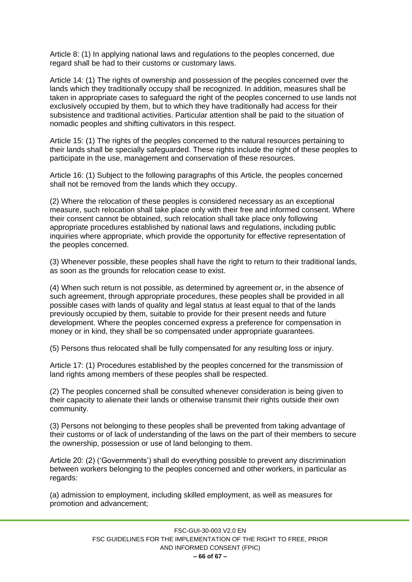Article 8: (1) In applying national laws and regulations to the peoples concerned, due regard shall be had to their customs or customary laws.

Article 14: (1) The rights of ownership and possession of the peoples concerned over the lands which they traditionally occupy shall be recognized. In addition, measures shall be taken in appropriate cases to safeguard the right of the peoples concerned to use lands not exclusively occupied by them, but to which they have traditionally had access for their subsistence and traditional activities. Particular attention shall be paid to the situation of nomadic peoples and shifting cultivators in this respect.

Article 15: (1) The rights of the peoples concerned to the natural resources pertaining to their lands shall be specially safeguarded. These rights include the right of these peoples to participate in the use, management and conservation of these resources.

Article 16: (1) Subject to the following paragraphs of this Article, the peoples concerned shall not be removed from the lands which they occupy.

(2) Where the relocation of these peoples is considered necessary as an exceptional measure, such relocation shall take place only with their free and informed consent. Where their consent cannot be obtained, such relocation shall take place only following appropriate procedures established by national laws and regulations, including public inquiries where appropriate, which provide the opportunity for effective representation of the peoples concerned.

(3) Whenever possible, these peoples shall have the right to return to their traditional lands, as soon as the grounds for relocation cease to exist.

(4) When such return is not possible, as determined by agreement or, in the absence of such agreement, through appropriate procedures, these peoples shall be provided in all possible cases with lands of quality and legal status at least equal to that of the lands previously occupied by them, suitable to provide for their present needs and future development. Where the peoples concerned express a preference for compensation in money or in kind, they shall be so compensated under appropriate guarantees.

(5) Persons thus relocated shall be fully compensated for any resulting loss or injury.

Article 17: (1) Procedures established by the peoples concerned for the transmission of land rights among members of these peoples shall be respected.

(2) The peoples concerned shall be consulted whenever consideration is being given to their capacity to alienate their lands or otherwise transmit their rights outside their own community.

(3) Persons not belonging to these peoples shall be prevented from taking advantage of their customs or of lack of understanding of the laws on the part of their members to secure the ownership, possession or use of land belonging to them.

Article 20: (2) ('Governments') shall do everything possible to prevent any discrimination between workers belonging to the peoples concerned and other workers, in particular as regards:

(a) admission to employment, including skilled employment, as well as measures for promotion and advancement;